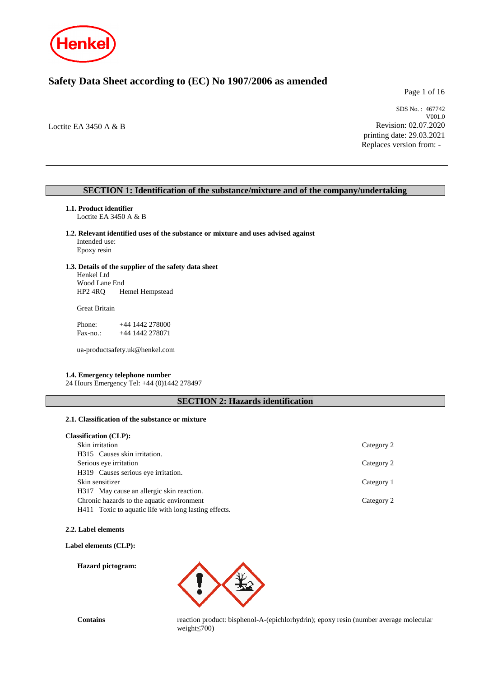

# **Safety Data Sheet according to (EC) No 1907/2006 as amended**

Page 1 of 16

Loctite EA 3450 A & B

SDS No. : 467742 V001.0 Revision: 02.07.2020 printing date: 29.03.2021 Replaces version from: -

# **SECTION 1: Identification of the substance/mixture and of the company/undertaking**

- **1.1. Product identifier** Loctite EA 3450 A & B
- **1.2. Relevant identified uses of the substance or mixture and uses advised against** Intended use:

Epoxy resin

### **1.3. Details of the supplier of the safety data sheet**

Henkel Ltd Wood Lane End HP2 4RQ Hemel Hempstead

Great Britain

Phone: +44 1442 278000 Fax-no.: +44 1442 278071

ua-productsafety.uk@henkel.com

### **1.4. Emergency telephone number**

24 Hours Emergency Tel: +44 (0)1442 278497

# **SECTION 2: Hazards identification**

#### **2.1. Classification of the substance or mixture**

### **Classification (CLP):**

| Skin irritation                                       | Category 2 |
|-------------------------------------------------------|------------|
| H315 Causes skin irritation.                          |            |
| Serious eye irritation                                | Category 2 |
| H319 Causes serious eye irritation.                   |            |
| Skin sensitizer                                       | Category 1 |
| H317 May cause an allergic skin reaction.             |            |
| Chronic hazards to the aquatic environment            | Category 2 |
| H411 Toxic to aquatic life with long lasting effects. |            |

#### **2.2. Label elements**

**Label elements (CLP):**

**Hazard pictogram:**



**Contains** reaction product: bisphenol-A-(epichlorhydrin); epoxy resin (number average molecular weight≤700)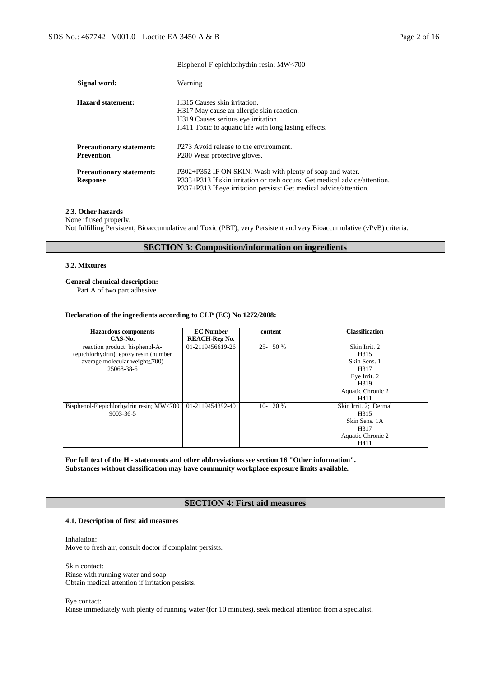|                                                      | $\mathbf{D}$ hypinghol $\mathbf{I}$ exploition $\mathbf{R}$ with result, $\mathbf{M}$ $\mathbf{H}$                                                                                                             |
|------------------------------------------------------|----------------------------------------------------------------------------------------------------------------------------------------------------------------------------------------------------------------|
| Signal word:                                         | Warning                                                                                                                                                                                                        |
| Hazard statement:                                    | H <sub>3</sub> 15 Causes skin irritation.<br>H317 May cause an allergic skin reaction.<br>H319 Causes serious eye irritation.<br>H411 Toxic to aquatic life with long lasting effects.                         |
| <b>Precautionary statement:</b><br><b>Prevention</b> | P273 Avoid release to the environment.<br>P <sub>280</sub> Wear protective gloves.                                                                                                                             |
| <b>Precautionary statement:</b><br><b>Response</b>   | P302+P352 IF ON SKIN: Wash with plenty of soap and water.<br>P333+P313 If skin irritation or rash occurs: Get medical advice/attention.<br>P337+P313 If eye irritation persists: Get medical advice/attention. |

Bisphenol-F epichlorhydrin resin; MW<700

### **2.3. Other hazards**

None if used properly.

Not fulfilling Persistent, Bioaccumulative and Toxic (PBT), very Persistent and very Bioaccumulative (vPvB) criteria.

# **SECTION 3: Composition/information on ingredients**

#### **3.2. Mixtures**

### **General chemical description:**

Part A of two part adhesive

#### **Declaration of the ingredients according to CLP (EC) No 1272/2008:**

| <b>Hazardous components</b>              | <b>EC</b> Number     | content    | <b>Classification</b> |
|------------------------------------------|----------------------|------------|-----------------------|
| CAS-No.                                  | <b>REACH-Reg No.</b> |            |                       |
| reaction product: bisphenol-A-           | 01-2119456619-26     | $25 - 50%$ | Skin Irrit. 2         |
| (epichlorhydrin); epoxy resin (number    |                      |            | H315                  |
| average molecular weight $\leq 700$ )    |                      |            | Skin Sens. 1          |
| 25068-38-6                               |                      |            | H317                  |
|                                          |                      |            | Eye Irrit. 2          |
|                                          |                      |            | H <sub>3</sub> 19     |
|                                          |                      |            | Aquatic Chronic 2     |
|                                          |                      |            | H411                  |
| Bisphenol-F epichlorhydrin resin; MW<700 | 01-2119454392-40     | $10-20%$   | Skin Irrit. 2; Dermal |
| $9003 - 36 - 5$                          |                      |            | H315                  |
|                                          |                      |            | Skin Sens. 1A         |
|                                          |                      |            | H317                  |
|                                          |                      |            | Aquatic Chronic 2     |
|                                          |                      |            | H411                  |

**For full text of the H - statements and other abbreviations see section 16 "Other information". Substances without classification may have community workplace exposure limits available.**

# **SECTION 4: First aid measures**

### **4.1. Description of first aid measures**

Inhalation: Move to fresh air, consult doctor if complaint persists.

Skin contact: Rinse with running water and soap. Obtain medical attention if irritation persists.

Eye contact:

Rinse immediately with plenty of running water (for 10 minutes), seek medical attention from a specialist.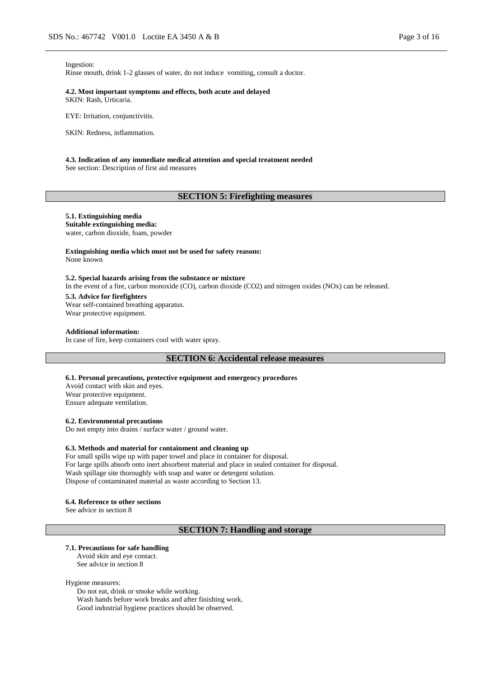#### Ingestion:

Rinse mouth, drink 1-2 glasses of water, do not induce vomiting, consult a doctor.

#### **4.2. Most important symptoms and effects, both acute and delayed** SKIN: Rash, Urticaria.

EYE: Irritation, conjunctivitis.

SKIN: Redness, inflammation.

# **4.3. Indication of any immediate medical attention and special treatment needed**

See section: Description of first aid measures

# **SECTION 5: Firefighting measures**

### **5.1. Extinguishing media**

**Suitable extinguishing media:** water, carbon dioxide, foam, powder

### **Extinguishing media which must not be used for safety reasons:**

None known

### **5.2. Special hazards arising from the substance or mixture**

In the event of a fire, carbon monoxide (CO), carbon dioxide (CO2) and nitrogen oxides (NOx) can be released.

#### **5.3. Advice for firefighters**

Wear self-contained breathing apparatus. Wear protective equipment.

#### **Additional information:**

In case of fire, keep containers cool with water spray.

#### **SECTION 6: Accidental release measures**

#### **6.1. Personal precautions, protective equipment and emergency procedures**

Avoid contact with skin and eyes. Wear protective equipment. Ensure adequate ventilation.

#### **6.2. Environmental precautions**

Do not empty into drains / surface water / ground water.

#### **6.3. Methods and material for containment and cleaning up**

For small spills wipe up with paper towel and place in container for disposal. For large spills absorb onto inert absorbent material and place in sealed container for disposal. Wash spillage site thoroughly with soap and water or detergent solution. Dispose of contaminated material as waste according to Section 13.

#### **6.4. Reference to other sections**

See advice in section 8

### **SECTION 7: Handling and storage**

# **7.1. Precautions for safe handling**

Avoid skin and eye contact. See advice in section 8

#### Hygiene measures:

Do not eat, drink or smoke while working. Wash hands before work breaks and after finishing work. Good industrial hygiene practices should be observed.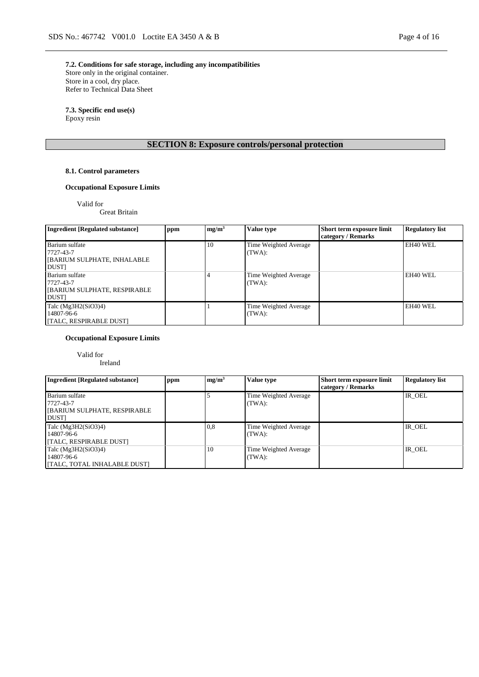**7.2. Conditions for safe storage, including any incompatibilities** Store only in the original container. Store in a cool, dry place. Refer to Technical Data Sheet

**7.3. Specific end use(s)** Epoxy resin

# **SECTION 8: Exposure controls/personal protection**

# **8.1. Control parameters**

# **Occupational Exposure Limits**

Valid for

Great Britain

| <b>Ingredient [Regulated substance]</b>                                           | ppm | mg/m <sup>3</sup> | <b>Value type</b>               | Short term exposure limit<br>category / Remarks | <b>Regulatory list</b> |
|-----------------------------------------------------------------------------------|-----|-------------------|---------------------------------|-------------------------------------------------|------------------------|
| Barium sulfate<br>7727-43-7<br>[BARIUM SULPHATE, INHALABLE]<br><b>DUST</b>        |     | 10                | Time Weighted Average<br>(TWA): |                                                 | EH40 WEL               |
| Barium sulfate<br>7727-43-7<br><b>[BARIUM SULPHATE, RESPIRABLE</b><br><b>DUST</b> |     |                   | Time Weighted Average<br>(TWA): |                                                 | EH40 WEL               |
| Talc $(Mg3H2(SiO3)4)$<br>14807-96-6<br>[TALC, RESPIRABLE DUST]                    |     |                   | Time Weighted Average<br>(TWA): |                                                 | EH40 WEL               |

# **Occupational Exposure Limits**

Valid for

Ireland

| <b>Ingredient [Regulated substance]</b>                                           | ppm | mg/m <sup>3</sup> | <b>Value type</b>               | Short term exposure limit<br>category / Remarks | <b>Regulatory list</b> |
|-----------------------------------------------------------------------------------|-----|-------------------|---------------------------------|-------------------------------------------------|------------------------|
| Barium sulfate<br>7727-43-7<br><b>[BARIUM SULPHATE, RESPIRABLE</b><br><b>DUST</b> |     |                   | Time Weighted Average<br>(TWA): |                                                 | IR OEL                 |
| Talc $(Mg3H2(SiO3)4)$<br>14807-96-6<br>[TALC, RESPIRABLE DUST]                    |     | 0,8               | Time Weighted Average<br>(TWA): |                                                 | IR OEL                 |
| Talc $(Mg3H2(SiO3)4)$<br>14807-96-6<br>[TALC, TOTAL INHALABLE DUST]               |     | 10                | Time Weighted Average<br>(TWA): |                                                 | IR OEL                 |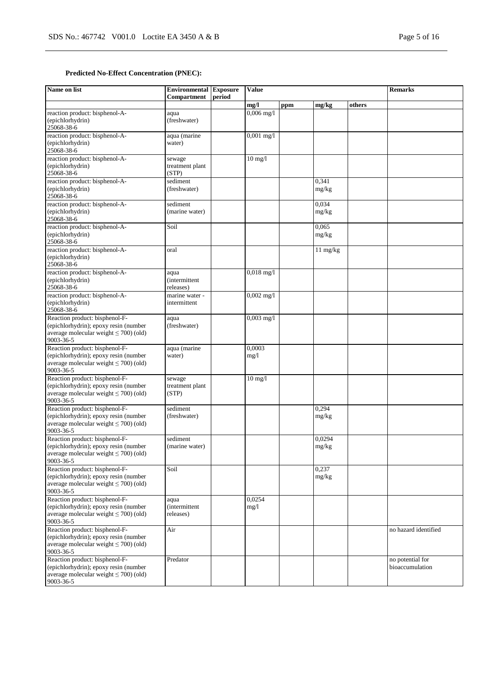# **Predicted No-Effect Concentration (PNEC):**

| Name on list                                                                                                                        | <b>Environmental Exposure</b><br>Compartment | period | <b>Value</b>   |     |                    | <b>Remarks</b> |                                     |
|-------------------------------------------------------------------------------------------------------------------------------------|----------------------------------------------|--------|----------------|-----|--------------------|----------------|-------------------------------------|
|                                                                                                                                     |                                              |        | mg/l           | ppm | mg/kg              | others         |                                     |
| reaction product: bisphenol-A-<br>(epichlorhydrin)<br>25068-38-6                                                                    | aqua<br>(freshwater)                         |        | $0,006$ mg/l   |     |                    |                |                                     |
| reaction product: bisphenol-A-<br>(epichlorhydrin)<br>25068-38-6                                                                    | aqua (marine<br>water)                       |        | $0,001$ mg/l   |     |                    |                |                                     |
| reaction product: bisphenol-A-<br>(epichlorhydrin)<br>25068-38-6                                                                    | sewage<br>treatment plant<br>(STP)           |        | $10$ mg/ $1$   |     |                    |                |                                     |
| reaction product: bisphenol-A-<br>(epichlorhydrin)<br>25068-38-6                                                                    | sediment<br>(freshwater)                     |        |                |     | 0,341<br>mg/kg     |                |                                     |
| reaction product: bisphenol-A-<br>(epichlorhydrin)<br>25068-38-6                                                                    | sediment<br>(marine water)                   |        |                |     | 0,034<br>mg/kg     |                |                                     |
| reaction product: bisphenol-A-<br>(epichlorhydrin)<br>25068-38-6                                                                    | Soil                                         |        |                |     | 0.065<br>mg/kg     |                |                                     |
| reaction product: bisphenol-A-<br>(epichlorhydrin)<br>25068-38-6                                                                    | oral                                         |        |                |     | $11 \text{ mg/kg}$ |                |                                     |
| reaction product: bisphenol-A-<br>(epichlorhydrin)<br>25068-38-6                                                                    | aqua<br><i>(intermittent)</i><br>releases)   |        | $0,018$ mg/l   |     |                    |                |                                     |
| reaction product: bisphenol-A-<br>(epichlorhydrin)<br>25068-38-6                                                                    | marine water -<br>intermittent               |        | $0,002$ mg/l   |     |                    |                |                                     |
| Reaction product: bisphenol-F-<br>(epichlorhydrin); epoxy resin (number<br>average molecular weight $\leq 700$ ) (old)<br>9003-36-5 | aqua<br>(freshwater)                         |        | $0,003$ mg/l   |     |                    |                |                                     |
| Reaction product: bisphenol-F-<br>(epichlorhydrin); epoxy resin (number<br>average molecular weight $\leq 700$ ) (old)<br>9003-36-5 | aqua (marine<br>water)                       |        | 0,0003<br>mg/l |     |                    |                |                                     |
| Reaction product: bisphenol-F-<br>(epichlorhydrin); epoxy resin (number<br>average molecular weight $\leq$ 700) (old)<br>9003-36-5  | sewage<br>treatment plant<br>(STP)           |        | $10$ mg/ $1$   |     |                    |                |                                     |
| Reaction product: bisphenol-F-<br>(epichlorhydrin); epoxy resin (number<br>average molecular weight $\leq$ 700) (old)<br>9003-36-5  | sediment<br>(freshwater)                     |        |                |     | 0,294<br>mg/kg     |                |                                     |
| Reaction product: bisphenol-F-<br>(epichlorhydrin); epoxy resin (number)<br>average molecular weight $\leq$ 700) (old)<br>9003-36-5 | sediment<br>(marine water)                   |        |                |     | 0,0294<br>mg/kg    |                |                                     |
| Reaction product: bisphenol-F-<br>(epichlorhydrin); epoxy resin (number<br>average molecular weight $\leq$ 700) (old)<br>9003-36-5  | Soil                                         |        |                |     | 0,237<br>mg/kg     |                |                                     |
| Reaction product: bisphenol-F-<br>(epichlorhydrin); epoxy resin (number<br>average molecular weight $\leq$ 700) (old)<br>9003-36-5  | aqua<br><i>(intermittent</i><br>releases)    |        | 0,0254<br>mg/1 |     |                    |                |                                     |
| Reaction product: bisphenol-F-<br>(epichlorhydrin); epoxy resin (number<br>average molecular weight $\leq$ 700) (old)<br>9003-36-5  | Air                                          |        |                |     |                    |                | no hazard identified                |
| Reaction product: bisphenol-F-<br>(epichlorhydrin); epoxy resin (number<br>average molecular weight $\leq$ 700) (old)<br>9003-36-5  | Predator                                     |        |                |     |                    |                | no potential for<br>bioaccumulation |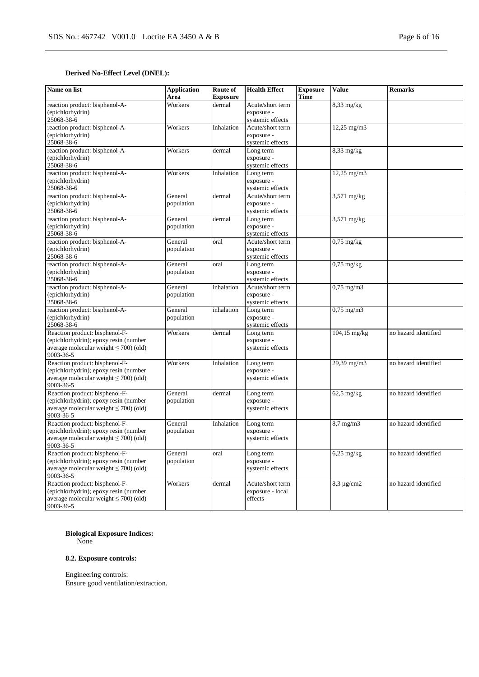# **Derived No-Effect Level (DNEL):**

| Name on list                                                                                                                        | <b>Application</b><br>Area | Route of<br><b>Exposure</b> | <b>Health Effect</b>                               | <b>Exposure</b><br><b>Time</b> | <b>Value</b>            | <b>Remarks</b>       |
|-------------------------------------------------------------------------------------------------------------------------------------|----------------------------|-----------------------------|----------------------------------------------------|--------------------------------|-------------------------|----------------------|
| reaction product: bisphenol-A-<br>(epichlorhydrin)<br>25068-38-6                                                                    | Workers                    | dermal                      | Acute/short term<br>exposure -<br>systemic effects |                                | $8,33$ mg/kg            |                      |
| reaction product: bisphenol-A-<br>(epichlorhydrin)<br>25068-38-6                                                                    | Workers                    | Inhalation                  | Acute/short term<br>exposure -<br>systemic effects |                                | $12,25 \text{ mg/m}$    |                      |
| reaction product: bisphenol-A-<br>(epichlorhydrin)<br>25068-38-6                                                                    | Workers                    | dermal                      | Long term<br>exposure -<br>systemic effects        |                                | $8,33 \text{ mg/kg}$    |                      |
| reaction product: bisphenol-A-<br>(epichlorhydrin)<br>25068-38-6                                                                    | Workers                    | Inhalation                  | Long term<br>exposure -<br>systemic effects        |                                | 12,25 mg/m3             |                      |
| reaction product: bisphenol-A-<br>(epichlorhydrin)<br>25068-38-6                                                                    | General<br>population      | dermal                      | Acute/short term<br>exposure -<br>systemic effects |                                | 3,571 mg/kg             |                      |
| reaction product: bisphenol-A-<br>(epichlorhydrin)<br>25068-38-6                                                                    | General<br>population      | dermal                      | Long term<br>exposure -<br>systemic effects        |                                | 3,571 mg/kg             |                      |
| reaction product: bisphenol-A-<br>(epichlorhydrin)<br>25068-38-6                                                                    | General<br>population      | oral                        | Acute/short term<br>exposure -<br>systemic effects |                                | $0,75$ mg/kg            |                      |
| reaction product: bisphenol-A-<br>(epichlorhydrin)<br>25068-38-6                                                                    | General<br>population      | oral                        | Long term<br>exposure -<br>systemic effects        |                                | $0.75$ mg/kg            |                      |
| reaction product: bisphenol-A-<br>(epichlorhydrin)<br>25068-38-6                                                                    | General<br>population      | inhalation                  | Acute/short term<br>exposure -<br>systemic effects |                                | $0,75$ mg/m $3$         |                      |
| reaction product: bisphenol-A-<br>(epichlorhydrin)<br>25068-38-6                                                                    | General<br>population      | inhalation                  | Long term<br>exposure -<br>systemic effects        |                                | $0,75$ mg/m $3$         |                      |
| Reaction product: bisphenol-F-<br>(epichlorhydrin); epoxy resin (number<br>average molecular weight $\leq 700$ ) (old)<br>9003-36-5 | Workers                    | dermal                      | Long term<br>exposure -<br>systemic effects        |                                | $104,15$ mg/kg          | no hazard identified |
| Reaction product: bisphenol-F-<br>(epichlorhydrin); epoxy resin (number<br>average molecular weight $\leq$ 700) (old)<br>9003-36-5  | Workers                    | Inhalation                  | Long term<br>exposure -<br>systemic effects        |                                | 29,39 mg/m3             | no hazard identified |
| Reaction product: bisphenol-F-<br>(epichlorhydrin); epoxy resin (number<br>average molecular weight $\leq$ 700) (old)<br>9003-36-5  | General<br>population      | dermal                      | Long term<br>exposure -<br>systemic effects        |                                | $62,5$ mg/kg            | no hazard identified |
| Reaction product: bisphenol-F-<br>(epichlorhydrin); epoxy resin (number<br>average molecular weight $\leq$ 700) (old)<br>9003-36-5  | General<br>population      | Inhalation                  | Long term<br>exposure -<br>systemic effects        |                                | $8,7$ mg/m $3$          | no hazard identified |
| Reaction product: bisphenol-F-<br>(epichlorhydrin); epoxy resin (number<br>average molecular weight $\leq$ 700) (old)<br>9003-36-5  | General<br>population      | oral                        | Long term<br>exposure -<br>systemic effects        |                                | $6,25 \,\mathrm{mg/kg}$ | no hazard identified |
| Reaction product: bisphenol-F-<br>(epichlorhydrin); epoxy resin (number<br>average molecular weight $\leq$ 700) (old)<br>9003-36-5  | Workers                    | dermal                      | Acute/short term<br>exposure - local<br>effects    |                                | $8,3 \mu g/cm2$         | no hazard identified |

**Biological Exposure Indices:**

None

# **8.2. Exposure controls:**

Engineering controls: Ensure good ventilation/extraction.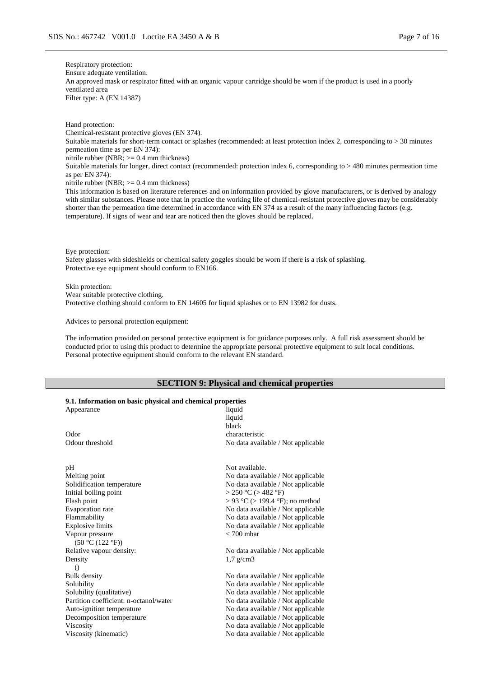Respiratory protection: Ensure adequate ventilation. An approved mask or respirator fitted with an organic vapour cartridge should be worn if the product is used in a poorly ventilated area Filter type: A (EN 14387)

Hand protection: Chemical-resistant protective gloves (EN 374). Suitable materials for short-term contact or splashes (recommended: at least protection index 2, corresponding to > 30 minutes permeation time as per EN 374): nitrile rubber (NBR;  $>= 0.4$  mm thickness) Suitable materials for longer, direct contact (recommended: protection index 6, corresponding to > 480 minutes permeation time as per EN 374): nitrile rubber (NBR;  $>= 0.4$  mm thickness)

This information is based on literature references and on information provided by glove manufacturers, or is derived by analogy with similar substances. Please note that in practice the working life of chemical-resistant protective gloves may be considerably shorter than the permeation time determined in accordance with EN 374 as a result of the many influencing factors (e.g. temperature). If signs of wear and tear are noticed then the gloves should be replaced.

Eye protection:

Safety glasses with sideshields or chemical safety goggles should be worn if there is a risk of splashing. Protective eye equipment should conform to EN166.

Skin protection:

Wear suitable protective clothing.

Protective clothing should conform to EN 14605 for liquid splashes or to EN 13982 for dusts.

Advices to personal protection equipment:

The information provided on personal protective equipment is for guidance purposes only. A full risk assessment should be conducted prior to using this product to determine the appropriate personal protective equipment to suit local conditions. Personal protective equipment should conform to the relevant EN standard.

# **SECTION 9: Physical and chemical properties**

# **9.1. Information on basic physical and chemical properties**

| Appearance                             | liquid<br>liquid<br>black            |
|----------------------------------------|--------------------------------------|
| Odor                                   | characteristic                       |
| Odour threshold                        | No data available / Not applicable   |
| pН                                     | Not available.                       |
| Melting point                          | No data available / Not applicable   |
| Solidification temperature             | No data available / Not applicable   |
| Initial boiling point                  | $>$ 250 °C ( $>$ 482 °F)             |
| Flash point                            | $> 93$ °C ( $> 199.4$ °F); no method |
| <b>Evaporation</b> rate                | No data available / Not applicable   |
| Flammability                           | No data available / Not applicable   |
| <b>Explosive limits</b>                | No data available / Not applicable   |
| Vapour pressure                        | $< 700$ mbar                         |
| (50 °C (122 °F))                       |                                      |
| Relative vapour density:               | No data available / Not applicable   |
| Density                                | $1.7$ g/cm3                          |
| $\left( \right)$                       |                                      |
| <b>Bulk density</b>                    | No data available / Not applicable   |
| Solubility                             | No data available / Not applicable   |
| Solubility (qualitative)               | No data available / Not applicable   |
| Partition coefficient: n-octanol/water | No data available / Not applicable   |
| Auto-ignition temperature              | No data available / Not applicable   |
| Decomposition temperature              | No data available / Not applicable   |
| Viscosity                              | No data available / Not applicable   |
| Viscosity (kinematic)                  | No data available / Not applicable   |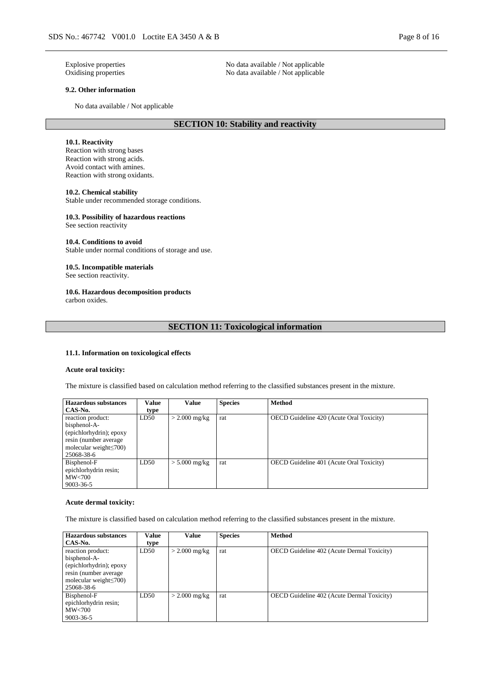Explosive properties No data available / Not applicable Oxidising properties No data available / Not applicable

# **9.2. Other information**

No data available / Not applicable

# **SECTION 10: Stability and reactivity**

No data available / Not applicable

### **10.1. Reactivity**

Reaction with strong bases Reaction with strong acids. Avoid contact with amines. Reaction with strong oxidants.

#### **10.2. Chemical stability**

Stable under recommended storage conditions.

### **10.3. Possibility of hazardous reactions**

See section reactivity

### **10.4. Conditions to avoid**

Stable under normal conditions of storage and use.

# **10.5. Incompatible materials**

See section reactivity.

# **10.6. Hazardous decomposition products**

carbon oxides.

# **SECTION 11: Toxicological information**

### **11.1. Information on toxicological effects**

#### **Acute oral toxicity:**

The mixture is classified based on calculation method referring to the classified substances present in the mixture.

| <b>Hazardous substances</b>   | Value | Value           | <b>Species</b> | <b>Method</b>                                   |
|-------------------------------|-------|-----------------|----------------|-------------------------------------------------|
| CAS-No.                       | type  |                 |                |                                                 |
| reaction product:             | LD50  | $>$ 2.000 mg/kg | rat            | <b>OECD</b> Guideline 420 (Acute Oral Toxicity) |
| bisphenol-A-                  |       |                 |                |                                                 |
| (epichlorhydrin); epoxy       |       |                 |                |                                                 |
| resin (number average)        |       |                 |                |                                                 |
| molecular weight $\leq 700$ ) |       |                 |                |                                                 |
| 25068-38-6                    |       |                 |                |                                                 |
| Bisphenol-F                   | LD50  | $> 5.000$ mg/kg | rat            | <b>OECD</b> Guideline 401 (Acute Oral Toxicity) |
| epichlorhydrin resin;         |       |                 |                |                                                 |
| MW<700                        |       |                 |                |                                                 |
| $9003 - 36 - 5$               |       |                 |                |                                                 |

#### **Acute dermal toxicity:**

The mixture is classified based on calculation method referring to the classified substances present in the mixture.

| <b>Hazardous substances</b>                                                                                                           | Value | Value           | <b>Species</b> | Method                                            |
|---------------------------------------------------------------------------------------------------------------------------------------|-------|-----------------|----------------|---------------------------------------------------|
| CAS-No.                                                                                                                               | type  |                 |                |                                                   |
| reaction product:<br>bisphenol-A-<br>(epichlorhydrin); epoxy<br>resin (number average)<br>molecular weight $\leq 700$ )<br>25068-38-6 | LD50  | $>$ 2.000 mg/kg | rat            | OECD Guideline 402 (Acute Dermal Toxicity)        |
| Bisphenol-F<br>epichlorhydrin resin;<br>MW<700<br>$9003 - 36 - 5$                                                                     | LD50  | $>$ 2.000 mg/kg | rat            | <b>OECD</b> Guideline 402 (Acute Dermal Toxicity) |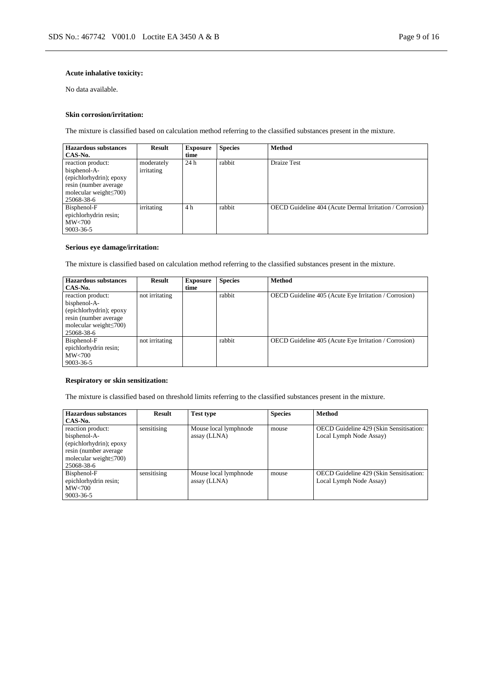# **Acute inhalative toxicity:**

No data available.

### **Skin corrosion/irritation:**

The mixture is classified based on calculation method referring to the classified substances present in the mixture.

| <b>Hazardous substances</b>   | <b>Result</b> | <b>Exposure</b> | <b>Species</b> | <b>Method</b>                                            |
|-------------------------------|---------------|-----------------|----------------|----------------------------------------------------------|
| CAS-No.                       |               | time            |                |                                                          |
| reaction product:             | moderately    | 24h             | rabbit         | <b>Draize Test</b>                                       |
| bisphenol-A-                  | irritating    |                 |                |                                                          |
| (epichlorhydrin); epoxy       |               |                 |                |                                                          |
| resin (number average)        |               |                 |                |                                                          |
| molecular weight $\leq 700$ ) |               |                 |                |                                                          |
| 25068-38-6                    |               |                 |                |                                                          |
| Bisphenol-F                   | irritating    | 4 h             | rabbit         | OECD Guideline 404 (Acute Dermal Irritation / Corrosion) |
| epichlorhydrin resin;         |               |                 |                |                                                          |
| MW<700                        |               |                 |                |                                                          |
| 9003-36-5                     |               |                 |                |                                                          |

### **Serious eye damage/irritation:**

The mixture is classified based on calculation method referring to the classified substances present in the mixture.

| <b>Hazardous substances</b>   | Result         | <b>Exposure</b> | <b>Species</b> | <b>Method</b>                                         |
|-------------------------------|----------------|-----------------|----------------|-------------------------------------------------------|
| CAS-No.                       |                | time            |                |                                                       |
| reaction product:             | not irritating |                 | rabbit         | OECD Guideline 405 (Acute Eye Irritation / Corrosion) |
| bisphenol-A-                  |                |                 |                |                                                       |
| (epichlorhydrin); epoxy       |                |                 |                |                                                       |
| resin (number average)        |                |                 |                |                                                       |
| molecular weight $\leq 700$ ) |                |                 |                |                                                       |
| 25068-38-6                    |                |                 |                |                                                       |
| Bisphenol-F                   | not irritating |                 | rabbit         | OECD Guideline 405 (Acute Eye Irritation / Corrosion) |
| epichlorhydrin resin;         |                |                 |                |                                                       |
| MW<700                        |                |                 |                |                                                       |
| 9003-36-5                     |                |                 |                |                                                       |

# **Respiratory or skin sensitization:**

The mixture is classified based on threshold limits referring to the classified substances present in the mixture.

| <b>Hazardous substances</b>  | <b>Result</b> | Test type             | <b>Species</b> | <b>Method</b>                           |
|------------------------------|---------------|-----------------------|----------------|-----------------------------------------|
| CAS-No.                      |               |                       |                |                                         |
| reaction product:            | sensitising   | Mouse local lymphnode | mouse          | OECD Guideline 429 (Skin Sensitisation: |
| bisphenol-A-                 |               | assay (LLNA)          |                | Local Lymph Node Assay)                 |
| (epichlorhydrin); epoxy      |               |                       |                |                                         |
| resin (number average)       |               |                       |                |                                         |
| molecular weight $\leq$ 700) |               |                       |                |                                         |
| 25068-38-6                   |               |                       |                |                                         |
| Bisphenol-F                  | sensitising   | Mouse local lymphnode | mouse          | OECD Guideline 429 (Skin Sensitisation: |
| epichlorhydrin resin;        |               | assay (LLNA)          |                | Local Lymph Node Assay)                 |
| $\text{MW}$ <700             |               |                       |                |                                         |
| 9003-36-5                    |               |                       |                |                                         |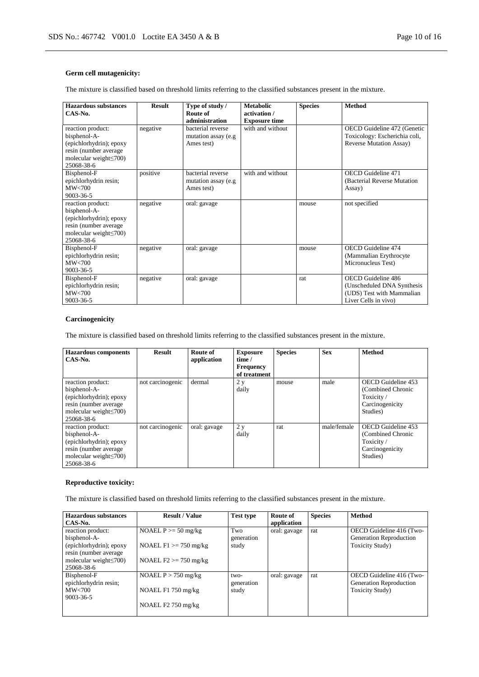# **Germ cell mutagenicity:**

The mixture is classified based on threshold limits referring to the classified substances present in the mixture.

| Hazardous substances                                                                                                                 | <b>Result</b> | Type of study /                                         | <b>Metabolic</b>                     | <b>Species</b> | <b>Method</b>                                                                                                 |
|--------------------------------------------------------------------------------------------------------------------------------------|---------------|---------------------------------------------------------|--------------------------------------|----------------|---------------------------------------------------------------------------------------------------------------|
| $CAS-N0$ .                                                                                                                           |               | Route of<br>administration                              | activation /<br><b>Exposure time</b> |                |                                                                                                               |
| reaction product:<br>bisphenol-A-<br>(epichlorhydrin); epoxy<br>resin (number average<br>molecular weight $\leq$ 700)<br>25068-38-6  | negative      | bacterial reverse<br>mutation assay (e.g.<br>Ames test) | with and without                     |                | OECD Guideline 472 (Genetic<br>Toxicology: Escherichia coli,<br><b>Reverse Mutation Assay)</b>                |
| Bisphenol-F<br>epichlorhydrin resin;<br>MW<700<br>9003-36-5                                                                          | positive      | bacterial reverse<br>mutation assay (e.g.<br>Ames test) | with and without                     |                | <b>OECD</b> Guideline 471<br>(Bacterial Reverse Mutation)<br>Assay)                                           |
| reaction product:<br>bisphenol-A-<br>(epichlorhydrin); epoxy<br>resin (number average<br>molecular weight $\leq 700$ )<br>25068-38-6 | negative      | oral: gavage                                            |                                      | mouse          | not specified                                                                                                 |
| Bisphenol-F<br>epichlorhydrin resin;<br>MW<700<br>9003-36-5                                                                          | negative      | oral: gavage                                            |                                      | mouse          | <b>OECD</b> Guideline 474<br>(Mammalian Erythrocyte)<br>Micronucleus Test)                                    |
| Bisphenol-F<br>epichlorhydrin resin;<br>MW<700<br>9003-36-5                                                                          | negative      | oral: gavage                                            |                                      | rat            | <b>OECD</b> Guideline 486<br>(Unscheduled DNA Synthesis)<br>(UDS) Test with Mammalian<br>Liver Cells in vivo) |

### **Carcinogenicity**

The mixture is classified based on threshold limits referring to the classified substances present in the mixture.

| <b>Hazardous</b> components<br>CAS-No.                                                                                                | <b>Result</b>    | Route of<br>application | <b>Exposure</b><br>time /<br><b>Frequency</b><br>of treatment | <b>Species</b> | <b>Sex</b>  | <b>Method</b>                                                                       |
|---------------------------------------------------------------------------------------------------------------------------------------|------------------|-------------------------|---------------------------------------------------------------|----------------|-------------|-------------------------------------------------------------------------------------|
| reaction product:<br>bisphenol-A-<br>(epichlorhydrin); epoxy<br>resin (number average)<br>molecular weight $\leq 700$ )<br>25068-38-6 | not carcinogenic | dermal                  | 2y<br>daily                                                   | mouse          | male        | OECD Guideline 453<br>(Combined Chronic<br>Toxicity/<br>Carcinogenicity<br>Studies) |
| reaction product:<br>bisphenol-A-<br>(epichlorhydrin); epoxy<br>resin (number average)<br>molecular weight $\leq 700$ )<br>25068-38-6 | not carcinogenic | oral: gavage            | 2 y<br>daily                                                  | rat            | male/female | OECD Guideline 453<br>(Combined Chronic<br>Toxicity/<br>Carcinogenicity<br>Studies) |

# **Reproductive toxicity:**

The mixture is classified based on threshold limits referring to the classified substances present in the mixture.

| <b>Hazardous substances</b>                       | <b>Result / Value</b>    | <b>Test type</b>   | Route of     | <b>Species</b> | <b>Method</b>                                       |
|---------------------------------------------------|--------------------------|--------------------|--------------|----------------|-----------------------------------------------------|
| CAS-No.                                           |                          |                    | application  |                |                                                     |
| reaction product:<br>bisphenol-A-                 | NOAEL $P \ge 50$ mg/kg   | Two<br>generation  | oral: gavage | rat            | OECD Guideline 416 (Two-<br>Generation Reproduction |
| (epichlorhydrin); epoxy<br>resin (number average) | NOAEL $F1 \ge 750$ mg/kg | study              |              |                | <b>Toxicity Study</b> )                             |
| molecular weight $\leq 700$ )<br>25068-38-6       | NOAEL $F2 \ge 750$ mg/kg |                    |              |                |                                                     |
| Bisphenol-F<br>epichlorhydrin resin;              | NOAEL $P > 750$ mg/kg    | two-<br>generation | oral: gavage | rat            | OECD Guideline 416 (Two-<br>Generation Reproduction |
| MW<700<br>$9003 - 36 - 5$                         | NOAEL F1 750 mg/kg       | study              |              |                | <b>Toxicity Study</b> )                             |
|                                                   | NOAEL F2 750 mg/kg       |                    |              |                |                                                     |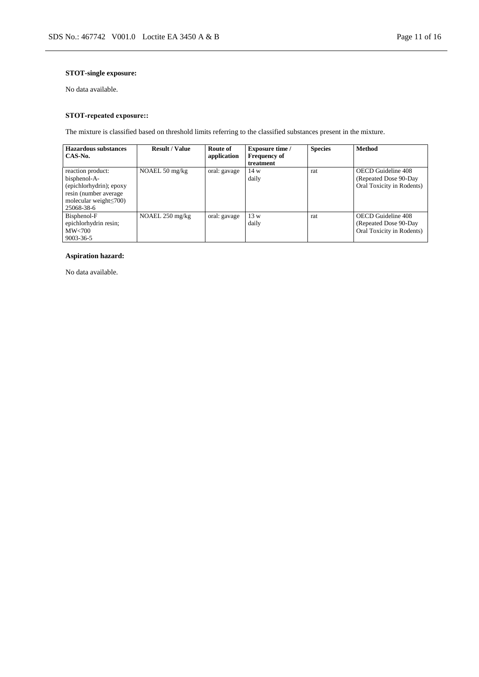# **STOT-single exposure:**

No data available.

# **STOT-repeated exposure::**

The mixture is classified based on threshold limits referring to the classified substances present in the mixture.

| <b>Hazardous substances</b>  | <b>Result / Value</b>    | Route of     | <b>Exposure time /</b> | <b>Species</b> | <b>Method</b>             |
|------------------------------|--------------------------|--------------|------------------------|----------------|---------------------------|
| CAS-No.                      |                          | application  | <b>Frequency of</b>    |                |                           |
|                              |                          |              | treatment              |                |                           |
| reaction product:            | NOAEL $50 \text{ mg/kg}$ | oral: gavage | 14 w                   | rat            | OECD Guideline 408        |
| bisphenol-A-                 |                          |              | daily                  |                | (Repeated Dose 90-Day)    |
| (epichlorhydrin); epoxy      |                          |              |                        |                | Oral Toxicity in Rodents) |
| resin (number average)       |                          |              |                        |                |                           |
| molecular weight $\leq$ 700) |                          |              |                        |                |                           |
| 25068-38-6                   |                          |              |                        |                |                           |
| Bisphenol-F                  | NOAEL 250 mg/kg          | oral: gavage | 13 w                   | rat            | OECD Guideline 408        |
| epichlorhydrin resin;        |                          |              | daily                  |                | (Repeated Dose 90-Day)    |
| MW< 700                      |                          |              |                        |                | Oral Toxicity in Rodents) |
| 9003-36-5                    |                          |              |                        |                |                           |

# **Aspiration hazard:**

No data available.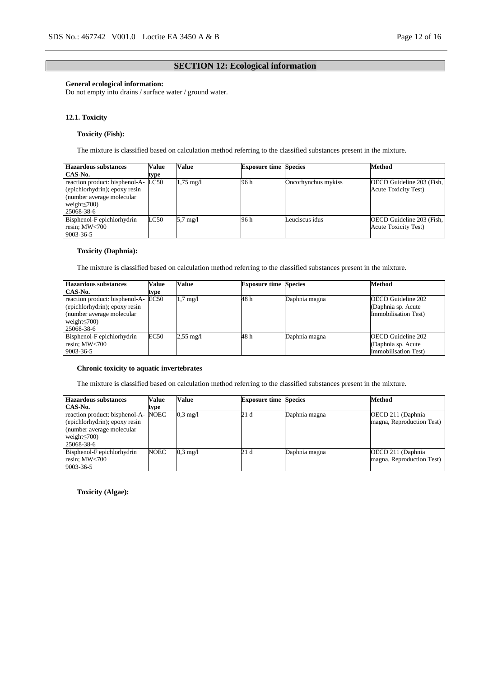# **SECTION 12: Ecological information**

# **General ecological information:**

Do not empty into drains / surface water / ground water.

### **12.1. Toxicity**

# **Toxicity (Fish):**

The mixture is classified based on calculation method referring to the classified substances present in the mixture.

| <b>Hazardous</b> substances                                                                                                             | Value | Value               | <b>Exposure time Species</b> |                     | <b>Method</b>                                            |
|-----------------------------------------------------------------------------------------------------------------------------------------|-------|---------------------|------------------------------|---------------------|----------------------------------------------------------|
| CAS-No.                                                                                                                                 | type  |                     |                              |                     |                                                          |
| reaction product: bisphenol-A- LC50<br>(epichlorhydrin); epoxy resin<br>(number average molecular)<br>weight $\leq 700$ )<br>25068-38-6 |       | $1.75 \text{ mg}/1$ | 96 h                         | Oncorhynchus mykiss | OECD Guideline 203 (Fish,<br><b>Acute Toxicity Test)</b> |
| Bisphenol-F epichlorhydrin<br>resin; $MW<700$<br>9003-36-5                                                                              | LC50  | $5.7 \text{ mg}/l$  | 96 h                         | Leuciscus idus      | OECD Guideline 203 (Fish,<br><b>Acute Toxicity Test)</b> |

# **Toxicity (Daphnia):**

The mixture is classified based on calculation method referring to the classified substances present in the mixture.

| Hazardous substances                                                                                                                   | <b>Value</b> | Value               | <b>Exposure time Species</b> |               | <b>Method</b>                                                            |
|----------------------------------------------------------------------------------------------------------------------------------------|--------------|---------------------|------------------------------|---------------|--------------------------------------------------------------------------|
| CAS-No.                                                                                                                                | type         |                     |                              |               |                                                                          |
| reaction product: bisphenol-A- EC50<br>(epichlorhydrin); epoxy resin<br>(number average molecular)<br>weight $\leq$ 700)<br>25068-38-6 |              | $1.7 \text{ mg}/1$  | 48 h                         | Daphnia magna | <b>OECD</b> Guideline 202<br>(Daphnia sp. Acute)<br>Immobilisation Test) |
| Bisphenol-F epichlorhydrin<br>resin; MW<700<br>9003-36-5                                                                               | EC50         | $2,55 \text{ mg}/1$ | 48 h                         | Daphnia magna | <b>OECD</b> Guideline 202<br>(Daphnia sp. Acute)<br>Immobilisation Test) |

# **Chronic toxicity to aquatic invertebrates**

The mixture is classified based on calculation method referring to the classified substances present in the mixture.

| <b>Hazardous substances</b>                                                                                                       | Value       | <b>Value</b>       | <b>Exposure time Species</b> |               | <b>Method</b>                                   |
|-----------------------------------------------------------------------------------------------------------------------------------|-------------|--------------------|------------------------------|---------------|-------------------------------------------------|
| CAS-No.                                                                                                                           | type        |                    |                              |               |                                                 |
| reaction product: bisphenol-A-<br>(epichlorhydrin); epoxy resin<br>(number average molecular)<br>weight $\leq$ 700)<br>25068-38-6 | NOEC        | $0.3 \text{ mg}/1$ | 21d                          | Daphnia magna | OECD 211 (Daphnia)<br>magna, Reproduction Test) |
| Bisphenol-F epichlorhydrin<br>resin; $MW<700$<br>$9003 - 36 - 5$                                                                  | <b>NOEC</b> | $0.3 \text{ mg/l}$ | 21 d                         | Daphnia magna | OECD 211 (Daphnia)<br>magna, Reproduction Test) |

**Toxicity (Algae):**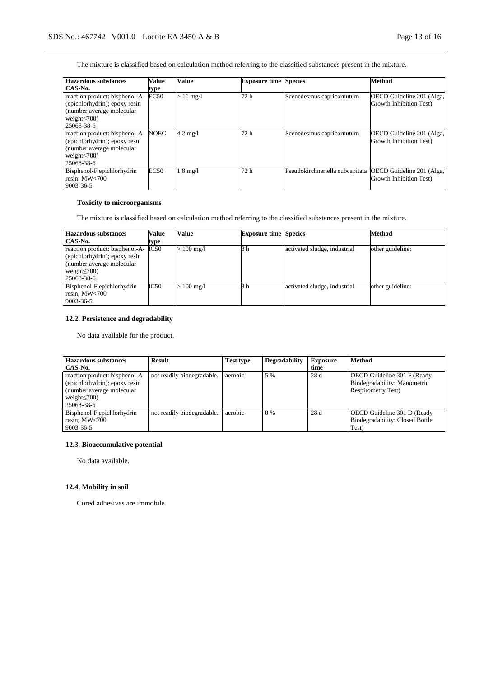The mixture is classified based on calculation method referring to the classified substances present in the mixture.

| <b>Hazardous substances</b>                                                                                                       | Value | Value              | <b>Exposure time Species</b> |                                 | Method                                               |
|-----------------------------------------------------------------------------------------------------------------------------------|-------|--------------------|------------------------------|---------------------------------|------------------------------------------------------|
| CAS-No.                                                                                                                           | type  |                    |                              |                                 |                                                      |
| reaction product: bisphenol-A-<br>(epichlorhydrin); epoxy resin<br>(number average molecular)<br>weight $\leq$ 700)<br>25068-38-6 | EC50  | $> 11$ mg/l        | 72 h                         | Scenedesmus capricornutum       | OECD Guideline 201 (Alga,<br>Growth Inhibition Test) |
| reaction product: bisphenol-A-<br>(epichlorhydrin); epoxy resin<br>(number average molecular)<br>weight $\leq$ 700)<br>25068-38-6 | NOEC  | $4.2 \text{ mg}/1$ | 72 h                         | Scenedesmus capricornutum       | OECD Guideline 201 (Alga,<br>Growth Inhibition Test) |
| Bisphenol-F epichlorhydrin<br>resin; MW<700<br>9003-36-5                                                                          | EC50  | $1.8 \text{ mg}/1$ | 72 h                         | Pseudokirchneriella subcapitata | OECD Guideline 201 (Alga,<br>Growth Inhibition Test) |

# **Toxicity to microorganisms**

The mixture is classified based on calculation method referring to the classified substances present in the mixture.

| <b>Hazardous substances</b>    | Value | Value        | <b>Exposure time Species</b> |                              | <b>Method</b>    |
|--------------------------------|-------|--------------|------------------------------|------------------------------|------------------|
| CAS-No.                        | type  |              |                              |                              |                  |
| reaction product: bisphenol-A- | IC50  | $> 100$ mg/l | 3 h                          | activated sludge, industrial | other guideline: |
| (epichlorhydrin); epoxy resin  |       |              |                              |                              |                  |
| (number average molecular)     |       |              |                              |                              |                  |
| weight $\leq$ 700)             |       |              |                              |                              |                  |
| 25068-38-6                     |       |              |                              |                              |                  |
| Bisphenol-F epichlorhydrin     | IC50  | $> 100$ mg/l | 3 h                          | activated sludge, industrial | other guideline: |
| resin; MW<700                  |       |              |                              |                              |                  |
| 9003-36-5                      |       |              |                              |                              |                  |

# **12.2. Persistence and degradability**

No data available for the product.

| <b>Hazardous substances</b>    | <b>Result</b>              | <b>Test type</b> | <b>Degradability</b> | <b>Exposure</b> | <b>Method</b>                   |
|--------------------------------|----------------------------|------------------|----------------------|-----------------|---------------------------------|
| CAS-No.                        |                            |                  |                      | time            |                                 |
| reaction product: bisphenol-A- | not readily biodegradable. | aerobic          | 5 %                  | 28 d            | OECD Guideline 301 F (Ready     |
| (epichlorhydrin); epoxy resin  |                            |                  |                      |                 | Biodegradability: Manometric    |
| (number average molecular      |                            |                  |                      |                 | <b>Respirometry Test)</b>       |
| weight $\leq$ 700)             |                            |                  |                      |                 |                                 |
| 25068-38-6                     |                            |                  |                      |                 |                                 |
| Bisphenol-F epichlorhydrin     | not readily biodegradable. | aerobic          | $0\%$                | 28 d            | OECD Guideline 301 D (Ready     |
| resin; $MW<700$                |                            |                  |                      |                 | Biodegradability: Closed Bottle |
| 9003-36-5                      |                            |                  |                      |                 | Test)                           |

# **12.3. Bioaccumulative potential**

No data available.

# **12.4. Mobility in soil**

Cured adhesives are immobile.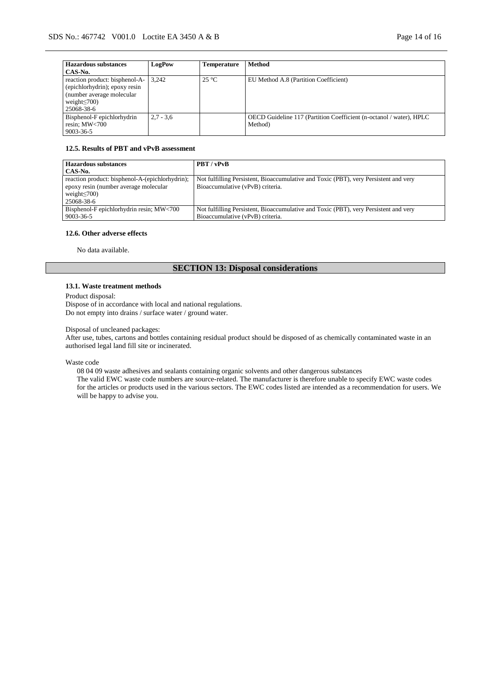| <b>Hazardous substances</b>    | LogPow      | Temperature    | <b>Method</b>                                                       |
|--------------------------------|-------------|----------------|---------------------------------------------------------------------|
| CAS-No.                        |             |                |                                                                     |
| reaction product: bisphenol-A- | 3.242       | $25^{\circ}$ C | EU Method A.8 (Partition Coefficient)                               |
| (epichlorhydrin); epoxy resin  |             |                |                                                                     |
| (number average molecular)     |             |                |                                                                     |
| weight $\leq$ 700)             |             |                |                                                                     |
| 25068-38-6                     |             |                |                                                                     |
| Bisphenol-F epichlorhydrin     | $2.7 - 3.6$ |                | OECD Guideline 117 (Partition Coefficient (n-octanol / water), HPLC |
| resin; $MW<700$                |             |                | Method)                                                             |
| 9003-36-5                      |             |                |                                                                     |

# **12.5. Results of PBT and vPvB assessment**

| <b>Hazardous substances</b>                     | PBT / vPvB                                                                           |
|-------------------------------------------------|--------------------------------------------------------------------------------------|
| CAS-No.                                         |                                                                                      |
| reaction product: bisphenol-A-(epichlorhydrin); | Not fulfilling Persistent, Bioaccumulative and Toxic (PBT), very Persistent and very |
| epoxy resin (number average molecular           | Bioaccumulative (vPvB) criteria.                                                     |
| weight $\leq 700$ )                             |                                                                                      |
| 25068-38-6                                      |                                                                                      |
| Bisphenol-F epichlorhydrin resin; MW<700        | Not fulfilling Persistent, Bioaccumulative and Toxic (PBT), very Persistent and very |
| 9003-36-5                                       | Bioaccumulative (vPvB) criteria.                                                     |

### **12.6. Other adverse effects**

No data available.

# **SECTION 13: Disposal considerations**

### **13.1. Waste treatment methods**

Product disposal:

Dispose of in accordance with local and national regulations. Do not empty into drains / surface water / ground water.

#### Disposal of uncleaned packages:

After use, tubes, cartons and bottles containing residual product should be disposed of as chemically contaminated waste in an authorised legal land fill site or incinerated.

Waste code

08 04 09 waste adhesives and sealants containing organic solvents and other dangerous substances

The valid EWC waste code numbers are source-related. The manufacturer is therefore unable to specify EWC waste codes for the articles or products used in the various sectors. The EWC codes listed are intended as a recommendation for users. We will be happy to advise you.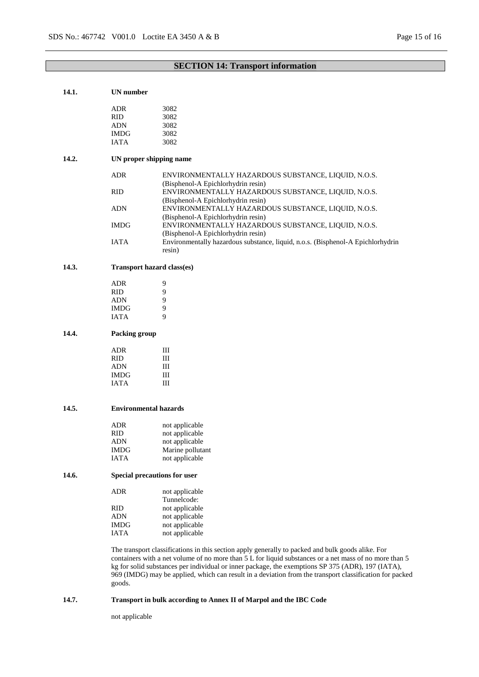| 14.1. | <b>UN</b> number             |                                                                                                                                                                                                                                                                                                                                                                                                                             |
|-------|------------------------------|-----------------------------------------------------------------------------------------------------------------------------------------------------------------------------------------------------------------------------------------------------------------------------------------------------------------------------------------------------------------------------------------------------------------------------|
|       | <b>ADR</b>                   | 3082                                                                                                                                                                                                                                                                                                                                                                                                                        |
|       |                              |                                                                                                                                                                                                                                                                                                                                                                                                                             |
|       | RID.                         | 3082                                                                                                                                                                                                                                                                                                                                                                                                                        |
|       | <b>ADN</b>                   | 3082                                                                                                                                                                                                                                                                                                                                                                                                                        |
|       | <b>IMDG</b>                  | 3082                                                                                                                                                                                                                                                                                                                                                                                                                        |
|       | <b>IATA</b>                  | 3082                                                                                                                                                                                                                                                                                                                                                                                                                        |
| 14.2. |                              | UN proper shipping name                                                                                                                                                                                                                                                                                                                                                                                                     |
|       | <b>ADR</b>                   | ENVIRONMENTALLY HAZARDOUS SUBSTANCE, LIQUID, N.O.S.<br>(Bisphenol-A Epichlorhydrin resin)                                                                                                                                                                                                                                                                                                                                   |
|       | <b>RID</b>                   | ENVIRONMENTALLY HAZARDOUS SUBSTANCE, LIQUID, N.O.S.<br>(Bisphenol-A Epichlorhydrin resin)                                                                                                                                                                                                                                                                                                                                   |
|       | <b>ADN</b>                   | ENVIRONMENTALLY HAZARDOUS SUBSTANCE, LIQUID, N.O.S.<br>(Bisphenol-A Epichlorhydrin resin)                                                                                                                                                                                                                                                                                                                                   |
|       | <b>IMDG</b>                  | ENVIRONMENTALLY HAZARDOUS SUBSTANCE, LIQUID, N.O.S.<br>(Bisphenol-A Epichlorhydrin resin)                                                                                                                                                                                                                                                                                                                                   |
|       | <b>IATA</b>                  | Environmentally hazardous substance, liquid, n.o.s. (Bisphenol-A Epichlorhydrin<br>resin)                                                                                                                                                                                                                                                                                                                                   |
| 14.3. |                              | Transport hazard class(es)                                                                                                                                                                                                                                                                                                                                                                                                  |
|       | <b>ADR</b>                   | 9                                                                                                                                                                                                                                                                                                                                                                                                                           |
|       | <b>RID</b>                   | 9                                                                                                                                                                                                                                                                                                                                                                                                                           |
|       | <b>ADN</b>                   | 9                                                                                                                                                                                                                                                                                                                                                                                                                           |
|       | <b>IMDG</b>                  | 9                                                                                                                                                                                                                                                                                                                                                                                                                           |
|       |                              | 9                                                                                                                                                                                                                                                                                                                                                                                                                           |
|       | <b>IATA</b>                  |                                                                                                                                                                                                                                                                                                                                                                                                                             |
| 14.4. | Packing group                |                                                                                                                                                                                                                                                                                                                                                                                                                             |
|       | <b>ADR</b>                   | Ш                                                                                                                                                                                                                                                                                                                                                                                                                           |
|       | RID.                         | Ш                                                                                                                                                                                                                                                                                                                                                                                                                           |
|       | ADN                          | Ш                                                                                                                                                                                                                                                                                                                                                                                                                           |
|       | <b>IMDG</b>                  | Ш                                                                                                                                                                                                                                                                                                                                                                                                                           |
|       | <b>IATA</b>                  | III                                                                                                                                                                                                                                                                                                                                                                                                                         |
| 14.5. | <b>Environmental hazards</b> |                                                                                                                                                                                                                                                                                                                                                                                                                             |
|       | <b>ADR</b>                   | not applicable                                                                                                                                                                                                                                                                                                                                                                                                              |
|       | <b>RID</b>                   | not applicable                                                                                                                                                                                                                                                                                                                                                                                                              |
|       | <b>ADN</b>                   | not applicable                                                                                                                                                                                                                                                                                                                                                                                                              |
|       | <b>IMDG</b>                  | Marine pollutant                                                                                                                                                                                                                                                                                                                                                                                                            |
|       | <b>IATA</b>                  | not applicable                                                                                                                                                                                                                                                                                                                                                                                                              |
| 14.6. |                              | Special precautions for user                                                                                                                                                                                                                                                                                                                                                                                                |
|       | ADR                          | not applicable<br>Tunnelcode:                                                                                                                                                                                                                                                                                                                                                                                               |
|       | <b>RID</b>                   | not applicable                                                                                                                                                                                                                                                                                                                                                                                                              |
|       | <b>ADN</b>                   | not applicable                                                                                                                                                                                                                                                                                                                                                                                                              |
|       | <b>IMDG</b>                  | not applicable                                                                                                                                                                                                                                                                                                                                                                                                              |
|       | <b>IATA</b>                  | not applicable                                                                                                                                                                                                                                                                                                                                                                                                              |
|       | goods.                       | The transport classifications in this section apply generally to packed and bulk goods alike. For<br>containers with a net volume of no more than 5 L for liquid substances or a net mass of no more than 5<br>kg for solid substances per individual or inner package, the exemptions SP 375 (ADR), 197 (IATA),<br>969 (IMDG) may be applied, which can result in a deviation from the transport classification for packed |
|       |                              |                                                                                                                                                                                                                                                                                                                                                                                                                             |

# **14.7. Transport in bulk according to Annex II of Marpol and the IBC Code**

not applicable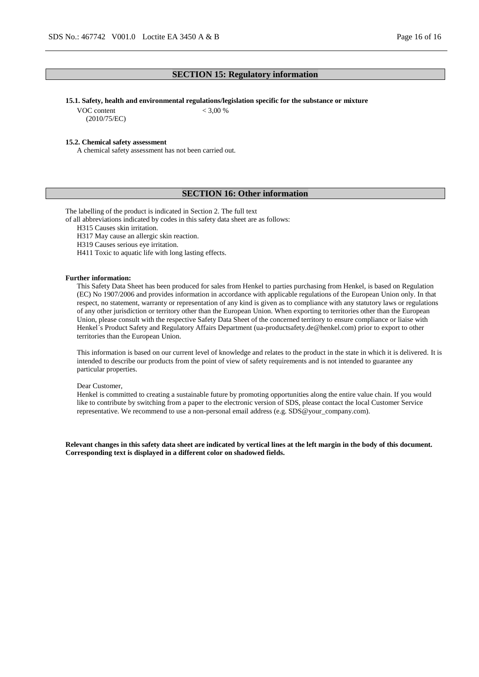# **SECTION 15: Regulatory information**

### **15.1. Safety, health and environmental regulations/legislation specific for the substance or mixture**

VOC content (2010/75/EC)  $< 3,00 %$ 

#### **15.2. Chemical safety assessment**

A chemical safety assessment has not been carried out.

### **SECTION 16: Other information**

The labelling of the product is indicated in Section 2. The full text

of all abbreviations indicated by codes in this safety data sheet are as follows:

H315 Causes skin irritation.

H317 May cause an allergic skin reaction.

H319 Causes serious eye irritation.

H411 Toxic to aquatic life with long lasting effects.

### **Further information:**

This Safety Data Sheet has been produced for sales from Henkel to parties purchasing from Henkel, is based on Regulation (EC) No 1907/2006 and provides information in accordance with applicable regulations of the European Union only. In that respect, no statement, warranty or representation of any kind is given as to compliance with any statutory laws or regulations of any other jurisdiction or territory other than the European Union. When exporting to territories other than the European Union, please consult with the respective Safety Data Sheet of the concerned territory to ensure compliance or liaise with Henkel´s Product Safety and Regulatory Affairs Department (ua-productsafety.de@henkel.com) prior to export to other territories than the European Union.

This information is based on our current level of knowledge and relates to the product in the state in which it is delivered. It is intended to describe our products from the point of view of safety requirements and is not intended to guarantee any particular properties.

#### Dear Customer,

Henkel is committed to creating a sustainable future by promoting opportunities along the entire value chain. If you would like to contribute by switching from a paper to the electronic version of SDS, please contact the local Customer Service representative. We recommend to use a non-personal email address (e.g. SDS@your\_company.com).

**Relevant changes in this safety data sheet are indicated by vertical lines at the left margin in the body of this document. Corresponding text is displayed in a different color on shadowed fields.**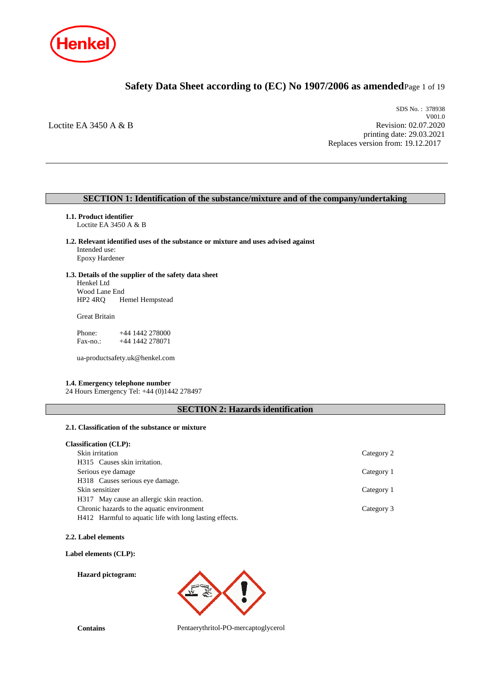

# **Safety Data Sheet according to (EC) No 1907/2006 as amended**Page 1 of 19

Loctite EA 3450 A & B

SDS No. : 378938 V001.0 Revision: 02.07.2020 printing date: 29.03.2021 Replaces version from: 19.12.2017

# **SECTION 1: Identification of the substance/mixture and of the company/undertaking**

- **1.1. Product identifier** Loctite EA 3450 A & B
- **1.2. Relevant identified uses of the substance or mixture and uses advised against** Intended use: Epoxy Hardener
- **1.3. Details of the supplier of the safety data sheet** Henkel Ltd

Wood Lane End<br>HP2 4RQ H Hemel Hempstead

Great Britain

Phone: +44 1442 278000<br>Fax-no.: +44 1442 278071 +44 1442 278071

ua-productsafety.uk@henkel.com

### **1.4. Emergency telephone number**

24 Hours Emergency Tel: +44 (0)1442 278497

# **SECTION 2: Hazards identification**

# **2.1. Classification of the substance or mixture**

| <b>Classification (CLP):</b>                            |            |
|---------------------------------------------------------|------------|
| Skin irritation                                         | Category 2 |
| H315 Causes skin irritation.                            |            |
| Serious eye damage                                      | Category 1 |
| H318 Causes serious eye damage.                         |            |
| Skin sensitizer                                         | Category 1 |
| H317 May cause an allergic skin reaction.               |            |
| Chronic hazards to the aquatic environment              | Category 3 |
| H412 Harmful to aquatic life with long lasting effects. |            |

**2.2. Label elements**

**Label elements (CLP):**

**Hazard pictogram:**

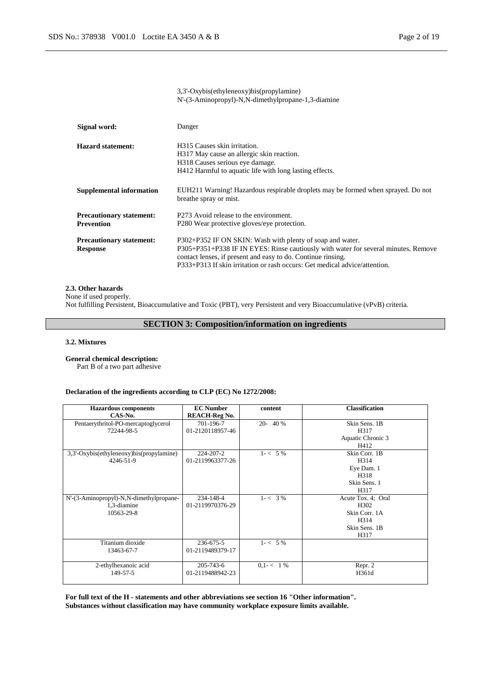|                                                      | 3,3'-Oxybis(ethyleneoxy)bis(propylamine)<br>N'-(3-Aminopropyl)-N,N-dimethylpropane-1,3-diamine                                                                                                                                                                                                |
|------------------------------------------------------|-----------------------------------------------------------------------------------------------------------------------------------------------------------------------------------------------------------------------------------------------------------------------------------------------|
| Signal word:                                         | Danger                                                                                                                                                                                                                                                                                        |
| <b>Hazard statement:</b>                             | H <sub>3</sub> 15 Causes skin irritation.<br>H317 May cause an allergic skin reaction.<br>H318 Causes serious eye damage.<br>H412 Harmful to aquatic life with long lasting effects.                                                                                                          |
| <b>Supplemental information</b>                      | EUH211 Warning! Hazardous respirable droplets may be formed when sprayed. Do not<br>breathe spray or mist.                                                                                                                                                                                    |
| <b>Precautionary statement:</b><br><b>Prevention</b> | P273 Avoid release to the environment.<br>P280 Wear protective gloves/eye protection.                                                                                                                                                                                                         |
| <b>Precautionary statement:</b><br><b>Response</b>   | P302+P352 IF ON SKIN: Wash with plenty of soap and water.<br>P305+P351+P338 IF IN EYES: Rinse cautiously with water for several minutes. Remove<br>contact lenses, if present and easy to do. Continue rinsing.<br>P333+P313 If skin irritation or rash occurs: Get medical advice/attention. |

### **2.3. Other hazards**

None if used properly. Not fulfilling Persistent, Bioaccumulative and Toxic (PBT), very Persistent and very Bioaccumulative (vPvB) criteria.

**SECTION 3: Composition/information on ingredients**

# **3.2. Mixtures**

**General chemical description:**

Part B of a two part adhesive

### **Declaration of the ingredients according to CLP (EC) No 1272/2008:**

| <b>Hazardous components</b>              | <b>EC Number</b>     | content       | <b>Classification</b> |
|------------------------------------------|----------------------|---------------|-----------------------|
| CAS-No.                                  | <b>REACH-Reg No.</b> |               |                       |
| Pentaerythritol-PO-mercaptoglycerol      | 701-196-7            | $20 - 40%$    | Skin Sens. 1B         |
| 72244-98-5                               | 01-2120118957-46     |               | H317                  |
|                                          |                      |               | Aquatic Chronic 3     |
|                                          |                      |               | H412                  |
| 3,3'-Oxybis(ethyleneoxy)bis(propylamine) | 224-207-2            | $1 - 5\%$     | Skin Corr. 1B         |
| 4246-51-9                                | 01-2119963377-26     |               | H314                  |
|                                          |                      |               | Eye Dam. 1            |
|                                          |                      |               | H318                  |
|                                          |                      |               | Skin Sens. 1          |
|                                          |                      |               | H317                  |
| N'-(3-Aminopropyl)-N,N-dimethylpropane-  | 234-148-4            | $1 - < 3\%$   | Acute Tox. 4; Oral    |
| 1,3-diamine                              | 01-2119970376-29     |               | H302                  |
| 10563-29-8                               |                      |               | Skin Corr. 1A         |
|                                          |                      |               | H314                  |
|                                          |                      |               | Skin Sens. 1B         |
|                                          |                      |               | H317                  |
| Titanium dioxide                         | 236-675-5            | $1 - 5\%$     |                       |
| 13463-67-7                               | 01-2119489379-17     |               |                       |
|                                          |                      |               |                       |
| 2-ethylhexanoic acid                     | $205 - 743 - 6$      | $0.1 - < 1\%$ | Repr. 2               |
| 149-57-5                                 | 01-2119488942-23     |               | H361d                 |
|                                          |                      |               |                       |

**For full text of the H - statements and other abbreviations see section 16 "Other information". Substances without classification may have community workplace exposure limits available.**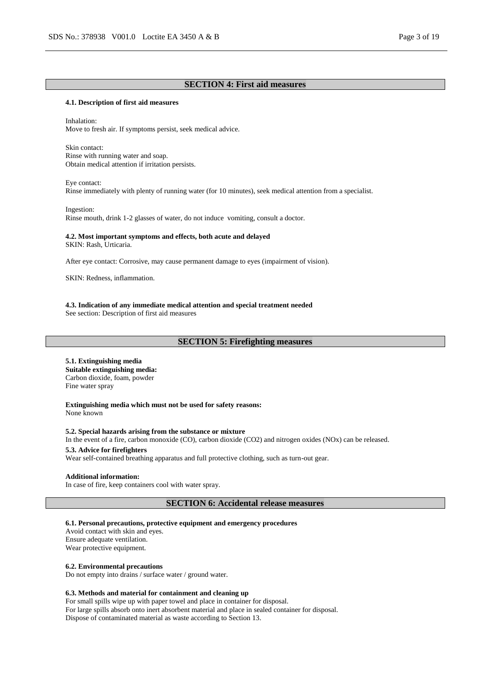### **SECTION 4: First aid measures**

#### **4.1. Description of first aid measures**

Inhalation: Move to fresh air. If symptoms persist, seek medical advice.

Skin contact: Rinse with running water and soap. Obtain medical attention if irritation persists.

Eye contact: Rinse immediately with plenty of running water (for 10 minutes), seek medical attention from a specialist.

Ingestion: Rinse mouth, drink 1-2 glasses of water, do not induce vomiting, consult a doctor.

#### **4.2. Most important symptoms and effects, both acute and delayed**

SKIN: Rash, Urticaria.

After eye contact: Corrosive, may cause permanent damage to eyes (impairment of vision).

SKIN: Redness, inflammation.

#### **4.3. Indication of any immediate medical attention and special treatment needed**

See section: Description of first aid measures

### **SECTION 5: Firefighting measures**

# **5.1. Extinguishing media**

**Suitable extinguishing media:** Carbon dioxide, foam, powder Fine water spray

**Extinguishing media which must not be used for safety reasons:** None known

**5.2. Special hazards arising from the substance or mixture** In the event of a fire, carbon monoxide (CO), carbon dioxide (CO2) and nitrogen oxides (NOx) can be released.

#### **5.3. Advice for firefighters** Wear self-contained breathing apparatus and full protective clothing, such as turn-out gear.

#### **Additional information:**

In case of fire, keep containers cool with water spray.

**SECTION 6: Accidental release measures**

### **6.1. Personal precautions, protective equipment and emergency procedures**

Avoid contact with skin and eyes. Ensure adequate ventilation. Wear protective equipment.

#### **6.2. Environmental precautions**

Do not empty into drains / surface water / ground water.

### **6.3. Methods and material for containment and cleaning up**

For small spills wipe up with paper towel and place in container for disposal. For large spills absorb onto inert absorbent material and place in sealed container for disposal. Dispose of contaminated material as waste according to Section 13.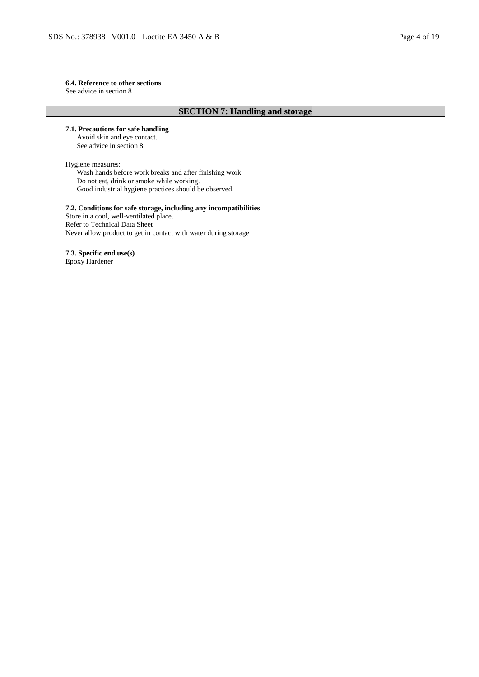# **6.4. Reference to other sections**

See advice in section 8

# **SECTION 7: Handling and storage**

**7.1. Precautions for safe handling** Avoid skin and eye contact.

See advice in section 8

### Hygiene measures:

Wash hands before work breaks and after finishing work. Do not eat, drink or smoke while working. Good industrial hygiene practices should be observed.

#### **7.2. Conditions for safe storage, including any incompatibilities**

Store in a cool, well-ventilated place. Refer to Technical Data Sheet Never allow product to get in contact with water during storage

**7.3. Specific end use(s)**

Epoxy Hardener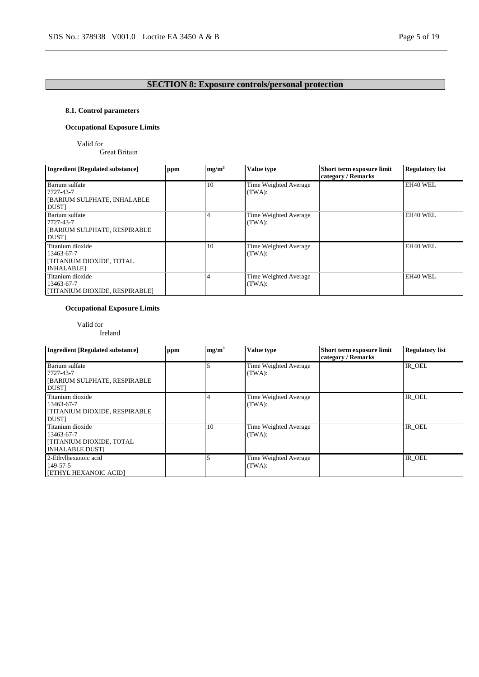# **SECTION 8: Exposure controls/personal protection**

# **8.1. Control parameters**

# **Occupational Exposure Limits**

Valid for

Great Britain

| <b>Ingredient [Regulated substance]</b>                                              | ppm | mg/m <sup>3</sup> | Value type                      | Short term exposure limit<br>category / Remarks | <b>Regulatory list</b> |
|--------------------------------------------------------------------------------------|-----|-------------------|---------------------------------|-------------------------------------------------|------------------------|
| Barium sulfate<br>7727-43-7<br><b>JEARIUM SULPHATE, INHALABLE</b><br><b>DUST</b>     |     | 10                | Time Weighted Average<br>(TWA): |                                                 | EH40 WEL               |
| Barium sulfate<br>7727-43-7<br><b>[BARIUM SULPHATE, RESPIRABLE</b><br><b>DUST</b>    |     |                   | Time Weighted Average<br>(TWA): |                                                 | EH40 WEL               |
| Titanium dioxide<br>13463-67-7<br><b>TITANIUM DIOXIDE, TOTAL</b><br><b>INHALABLE</b> |     | 10                | Time Weighted Average<br>(TWA): |                                                 | EH40 WEL               |
| Titanium dioxide<br>13463-67-7<br>[TITANIUM DIOXIDE, RESPIRABLE]                     |     |                   | Time Weighted Average<br>(TWA): |                                                 | EH40 WEL               |

# **Occupational Exposure Limits**

Valid for

# Ireland

| <b>Ingredient [Regulated substance]</b>                                                     | ppm | mg/m <sup>3</sup> | Value type                      | Short term exposure limit<br>category / Remarks | <b>Regulatory list</b> |
|---------------------------------------------------------------------------------------------|-----|-------------------|---------------------------------|-------------------------------------------------|------------------------|
| Barium sulfate<br>7727-43-7<br>[BARIUM SULPHATE, RESPIRABLE<br><b>DUST</b>                  |     |                   | Time Weighted Average<br>(TWA): |                                                 | IR OEL                 |
| Titanium dioxide<br>13463-67-7<br><b>[TITANIUM DIOXIDE, RESPIRABLE</b><br><b>DUST</b>       |     |                   | Time Weighted Average<br>(TWA): |                                                 | IR OEL                 |
| Titanium dioxide<br>13463-67-7<br><b>[TITANIUM DIOXIDE, TOTAL</b><br><b>INHALABLE DUSTI</b> |     | 10                | Time Weighted Average<br>(TWA): |                                                 | IR OEL                 |
| 2-Ethylhexanoic acid<br>149-57-5<br>[ETHYL HEXANOIC ACID]                                   |     |                   | Time Weighted Average<br>(TWA): |                                                 | IR OEL                 |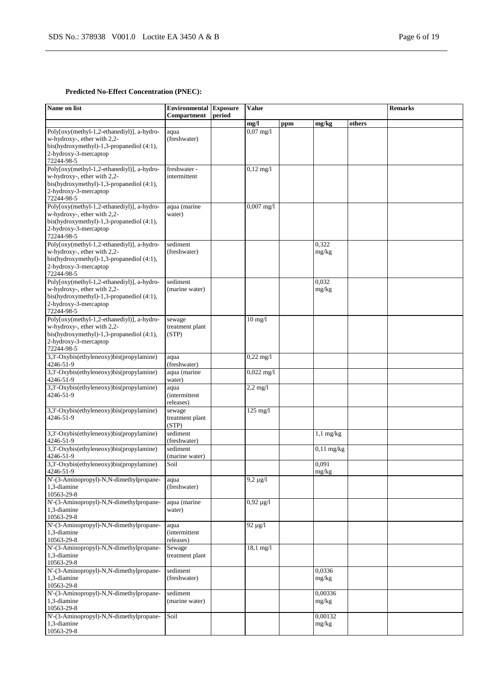# **Predicted No-Effect Concentration (PNEC):**

| Name on list                                                                                                                                                  | <b>Environmental Exposure</b><br>Compartment | period | <b>Value</b>        |     |                  | <b>Remarks</b> |  |
|---------------------------------------------------------------------------------------------------------------------------------------------------------------|----------------------------------------------|--------|---------------------|-----|------------------|----------------|--|
|                                                                                                                                                               |                                              |        | mg/l                | ppm | mg/kg            | others         |  |
| Poly[oxy(methyl-1,2-ethanediyl)], a-hydro-<br>w-hydroxy-, ether with 2,2-<br>bis(hydroxymethyl)-1,3-propanediol (4:1),<br>2-hydroxy-3-mercaptop<br>72244-98-5 | aqua<br>(freshwater)                         |        | $0,07 \text{ mg}/1$ |     |                  |                |  |
| Poly[oxy(methyl-1,2-ethanediyl)], a-hydro-<br>w-hydroxy-, ether with 2,2-<br>bis(hydroxymethyl)-1,3-propanediol (4:1),<br>2-hydroxy-3-mercaptop<br>72244-98-5 | freshwater -<br>intermittent                 |        | $0,12 \text{ mg}/1$ |     |                  |                |  |
| Poly[oxy(methyl-1,2-ethanediyl)], a-hydro-<br>w-hydroxy-, ether with 2,2-<br>bis(hydroxymethyl)-1,3-propanediol (4:1),<br>2-hydroxy-3-mercaptop<br>72244-98-5 | aqua (marine<br>water)                       |        | $0,007$ mg/l        |     |                  |                |  |
| Poly[oxy(methyl-1,2-ethanediyl)], a-hydro-<br>w-hydroxy-, ether with 2,2-<br>bis(hydroxymethyl)-1,3-propanediol (4:1),<br>2-hydroxy-3-mercaptop<br>72244-98-5 | sediment<br>(freshwater)                     |        |                     |     | 0,322<br>mg/kg   |                |  |
| Poly[oxy(methyl-1,2-ethanediyl)], a-hydro-<br>w-hydroxy-, ether with 2,2-<br>bis(hydroxymethyl)-1,3-propanediol (4:1),<br>2-hydroxy-3-mercaptop<br>72244-98-5 | sediment<br>(marine water)                   |        |                     |     | 0,032<br>mg/kg   |                |  |
| Poly[oxy(methyl-1,2-ethanediyl)], a-hydro-<br>w-hydroxy-, ether with 2,2-<br>bis(hydroxymethyl)-1,3-propanediol (4:1),<br>2-hydroxy-3-mercaptop<br>72244-98-5 | sewage<br>treatment plant<br>(STP)           |        | $10$ mg/l           |     |                  |                |  |
| 3,3'-Oxybis(ethyleneoxy)bis(propylamine)<br>4246-51-9                                                                                                         | aqua<br>(freshwater)                         |        | $0,22$ mg/l         |     |                  |                |  |
| 3,3'-Oxybis(ethyleneoxy)bis(propylamine)<br>4246-51-9                                                                                                         | aqua (marine<br>water)                       |        | $0,022$ mg/l        |     |                  |                |  |
| 3,3'-Oxybis(ethyleneoxy)bis(propylamine)<br>4246-51-9                                                                                                         | aqua<br><i>(intermittent)</i><br>releases)   |        | $2,2$ mg/l          |     |                  |                |  |
| 3,3'-Oxybis(ethyleneoxy)bis(propylamine)<br>4246-51-9                                                                                                         | sewage<br>treatment plant<br>(STP)           |        | $125$ mg/l          |     |                  |                |  |
| 3,3'-Oxybis(ethyleneoxy)bis(propylamine)<br>4246-51-9                                                                                                         | sediment<br>(freshwater)                     |        |                     |     | $1,1$ mg/kg      |                |  |
| 3,3'-Oxybis(ethyleneoxy)bis(propylamine)<br>4246-51-9                                                                                                         | sediment<br>(marine water)                   |        |                     |     | $0,11$ mg/kg     |                |  |
| 3,3'-Oxybis(ethyleneoxy)bis(propylamine)<br>4246-51-9                                                                                                         | Soil                                         |        |                     |     | 0,091<br>mg/kg   |                |  |
| N'-(3-Aminopropyl)-N,N-dimethylpropane-<br>1.3-diamine<br>10563-29-8                                                                                          | aqua<br>(freshwater)                         |        | $9,2 \mu g/l$       |     |                  |                |  |
| N'-(3-Aminopropyl)-N,N-dimethylpropane-<br>1,3-diamine<br>10563-29-8                                                                                          | aqua (marine<br>water)                       |        | $0,92 \mu g/l$      |     |                  |                |  |
| N'-(3-Aminopropyl)-N,N-dimethylpropane-<br>1,3-diamine<br>10563-29-8                                                                                          | aqua<br><i>(intermittent)</i><br>releases)   |        | $92 \mu g/l$        |     |                  |                |  |
| N'-(3-Aminopropyl)-N,N-dimethylpropane-<br>1,3-diamine<br>10563-29-8                                                                                          | Sewage<br>treatment plant                    |        | $18,1 \text{ mg}/1$ |     |                  |                |  |
| N'-(3-Aminopropyl)-N,N-dimethylpropane-<br>1,3-diamine<br>10563-29-8                                                                                          | sediment<br>(freshwater)                     |        |                     |     | 0,0336<br>mg/kg  |                |  |
| N'-(3-Aminopropyl)-N,N-dimethylpropane-<br>1,3-diamine<br>10563-29-8                                                                                          | sediment<br>(marine water)                   |        |                     |     | 0,00336<br>mg/kg |                |  |
| N'-(3-Aminopropyl)-N,N-dimethylpropane-<br>1,3-diamine<br>10563-29-8                                                                                          | Soil                                         |        |                     |     | 0.00132<br>mg/kg |                |  |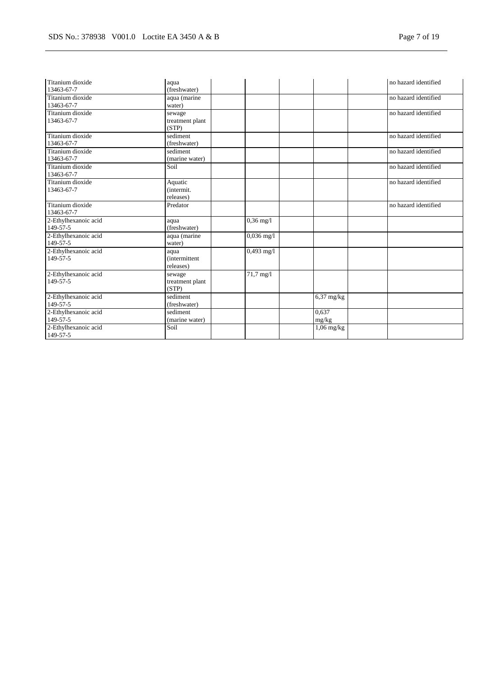| Titanium dioxide<br>13463-67-7   | aqua<br>(freshwater)                       |                      |                | no hazard identified |
|----------------------------------|--------------------------------------------|----------------------|----------------|----------------------|
| Titanium dioxide<br>13463-67-7   | aqua (marine<br>water)                     |                      |                | no hazard identified |
| Titanium dioxide<br>13463-67-7   | sewage<br>treatment plant<br>(STP)         |                      |                | no hazard identified |
| Titanium dioxide<br>13463-67-7   | sediment<br>(freshwater)                   |                      |                | no hazard identified |
| Titanium dioxide<br>13463-67-7   | sediment<br>(marine water)                 |                      |                | no hazard identified |
| Titanium dioxide<br>13463-67-7   | Soil                                       |                      |                | no hazard identified |
| Titanium dioxide<br>13463-67-7   | Aquatic<br>(intermit.<br>releases)         |                      |                | no hazard identified |
| Titanium dioxide<br>13463-67-7   | Predator                                   |                      |                | no hazard identified |
| 2-Ethylhexanoic acid<br>149-57-5 | aqua<br>(freshwater)                       | $0,36$ mg/l          |                |                      |
| 2-Ethylhexanoic acid<br>149-57-5 | aqua (marine<br>water)                     | $0,036 \text{ mg}/1$ |                |                      |
| 2-Ethylhexanoic acid<br>149-57-5 | aqua<br><i>(intermittent)</i><br>releases) | 0,493 mg/l           |                |                      |
| 2-Ethylhexanoic acid<br>149-57-5 | sewage<br>treatment plant<br>(STP)         | 71,7 mg/l            |                |                      |
| 2-Ethylhexanoic acid<br>149-57-5 | sediment<br>(freshwater)                   |                      | $6,37$ mg/kg   |                      |
| 2-Ethylhexanoic acid<br>149-57-5 | sediment<br>(marine water)                 |                      | 0.637<br>mg/kg |                      |
| 2-Ethylhexanoic acid<br>149-57-5 | Soil                                       |                      | $1,06$ mg/kg   |                      |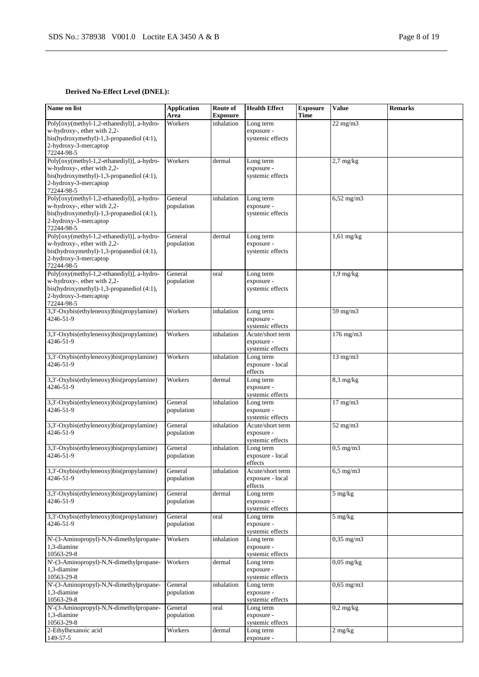# **Derived No-Effect Level (DNEL):**

| Name on list                                                                                                                                                     | <b>Application</b><br>Area | Route of<br><b>Exposure</b> | <b>Health Effect</b>                               | <b>Exposure</b><br><b>Time</b> | <b>Value</b>      | <b>Remarks</b> |
|------------------------------------------------------------------------------------------------------------------------------------------------------------------|----------------------------|-----------------------------|----------------------------------------------------|--------------------------------|-------------------|----------------|
| Poly[oxy(methyl-1,2-ethanediyl)], a-hydro-<br>w-hydroxy-, ether with 2,2-<br>bis(hydroxymethyl)-1,3-propanediol $(4:1)$ ,<br>2-hydroxy-3-mercaptop<br>72244-98-5 | Workers                    | inhalation                  | Long term<br>exposure -<br>systemic effects        |                                | $22$ mg/m $3$     |                |
| Poly[oxy(methyl-1,2-ethanediyl)], a-hydro-<br>w-hydroxy-, ether with 2,2-<br>bis(hydroxymethyl)-1,3-propanediol (4:1),<br>2-hydroxy-3-mercaptop<br>72244-98-5    | Workers                    | dermal                      | Long term<br>exposure -<br>systemic effects        |                                | $2.7$ mg/kg       |                |
| Poly[oxy(methyl-1,2-ethanediyl)], a-hydro-<br>w-hydroxy-, ether with 2,2-<br>bis(hydroxymethyl)-1,3-propanediol (4:1),<br>2-hydroxy-3-mercaptop<br>72244-98-5    | General<br>population      | inhalation                  | Long term<br>exposure -<br>systemic effects        |                                | $6,52$ mg/m $3$   |                |
| Poly[oxy(methyl-1,2-ethanediyl)], a-hydro-<br>w-hydroxy-, ether with 2,2-<br>bis(hydroxymethyl)-1,3-propanediol (4:1),<br>2-hydroxy-3-mercaptop<br>72244-98-5    | General<br>population      | dermal                      | Long term<br>exposure -<br>systemic effects        |                                | $1,61$ mg/kg      |                |
| Poly[oxy(methyl-1,2-ethanediyl)], a-hydro-<br>w-hydroxy-, ether with 2,2-<br>bis(hydroxymethyl)-1,3-propanediol (4:1),<br>2-hydroxy-3-mercaptop<br>72244-98-5    | General<br>population      | oral                        | Long term<br>exposure -<br>systemic effects        |                                | $1,9$ mg/kg       |                |
| 3,3'-Oxybis(ethyleneoxy)bis(propylamine)<br>4246-51-9                                                                                                            | Workers                    | inhalation                  | Long term<br>exposure -<br>systemic effects        |                                | 59 mg/m3          |                |
| 3,3'-Oxybis(ethyleneoxy)bis(propylamine)<br>4246-51-9                                                                                                            | Workers                    | inhalation                  | Acute/short term<br>exposure -<br>systemic effects |                                | $176$ mg/m $3$    |                |
| 3,3'-Oxybis(ethyleneoxy)bis(propylamine)<br>4246-51-9                                                                                                            | Workers                    | inhalation                  | Long term<br>exposure - local<br>effects           |                                | $13 \text{ mg/m}$ |                |
| 3,3'-Oxybis(ethyleneoxy)bis(propylamine)<br>4246-51-9                                                                                                            | Workers                    | dermal                      | Long term<br>exposure -<br>systemic effects        |                                | $8,3$ mg/kg       |                |
| 3,3'-Oxybis(ethyleneoxy)bis(propylamine)<br>4246-51-9                                                                                                            | General<br>population      | inhalation                  | Long term<br>exposure -<br>systemic effects        |                                | $17 \text{ mg/m}$ |                |
| 3,3'-Oxybis(ethyleneoxy)bis(propylamine)<br>4246-51-9                                                                                                            | General<br>population      | inhalation                  | Acute/short term<br>exposure -<br>systemic effects |                                | $52$ mg/m $3$     |                |
| 3,3'-Oxybis(ethyleneoxy)bis(propylamine)<br>4246-51-9                                                                                                            | General<br>population      | inhalation                  | Long term<br>exposure - local<br>effects           |                                | $0,5$ mg/m $3$    |                |
| 3,3'-Oxybis(ethyleneoxy)bis(propylamine)<br>4246-51-9                                                                                                            | General<br>population      | inhalation                  | Acute/short term<br>exposure - local<br>effects    |                                | $6,5$ mg/m $3$    |                |
| 3,3'-Oxybis(ethyleneoxy)bis(propylamine)<br>4246-51-9                                                                                                            | General<br>population      | dermal                      | Long term<br>exposure -<br>systemic effects        |                                | 5 mg/kg           |                |
| 3,3'-Oxybis(ethyleneoxy)bis(propylamine)<br>4246-51-9                                                                                                            | General<br>population      | oral                        | Long term<br>exposure -<br>systemic effects        |                                | $5 \text{ mg/kg}$ |                |
| N'-(3-Aminopropyl)-N,N-dimethylpropane-<br>1,3-diamine<br>10563-29-8                                                                                             | Workers                    | inhalation                  | Long term<br>exposure -<br>systemic effects        |                                | $0,35$ mg/m $3$   |                |
| N'-(3-Aminopropyl)-N,N-dimethylpropane-<br>1,3-diamine<br>10563-29-8                                                                                             | Workers                    | dermal                      | Long term<br>exposure -<br>systemic effects        |                                | $0.05$ mg/kg      |                |
| N'-(3-Aminopropyl)-N,N-dimethylpropane-<br>1,3-diamine<br>10563-29-8                                                                                             | General<br>population      | inhalation                  | Long term<br>exposure -<br>systemic effects        |                                | $0,65$ mg/m $3$   |                |
| N'-(3-Aminopropyl)-N,N-dimethylpropane-<br>1,3-diamine<br>10563-29-8                                                                                             | General<br>population      | oral                        | Long term<br>exposure -<br>systemic effects        |                                | $0,2$ mg/kg       |                |
| 2-Ethylhexanoic acid<br>149-57-5                                                                                                                                 | Workers                    | dermal                      | Long term<br>exposure -                            |                                | $2 \text{ mg/kg}$ |                |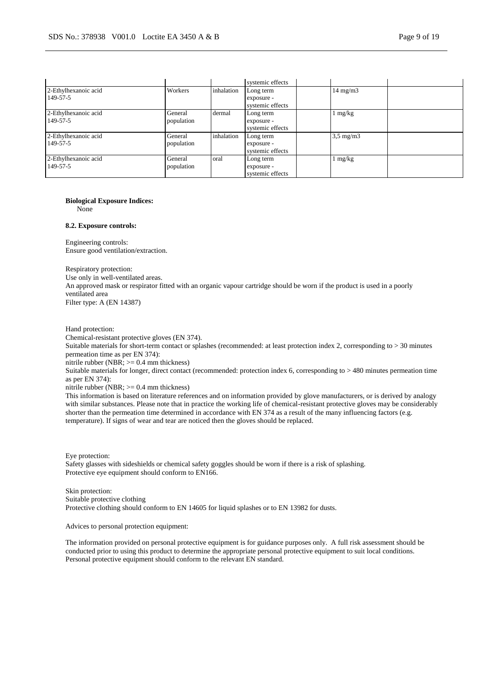|                                  |                       |            | systemic effects                            |                    |  |
|----------------------------------|-----------------------|------------|---------------------------------------------|--------------------|--|
| 2-Ethylhexanoic acid<br>149-57-5 | Workers               | inhalation | Long term<br>exposure -<br>systemic effects | $14 \text{ mg/m}$  |  |
| 2-Ethylhexanoic acid<br>149-57-5 | General<br>population | dermal     | Long term<br>exposure -<br>systemic effects | $1 \text{ mg/kg}$  |  |
| 2-Ethylhexanoic acid<br>149-57-5 | General<br>population | inhalation | Long term<br>exposure -<br>systemic effects | $3,5 \text{ mg/m}$ |  |
| 2-Ethylhexanoic acid<br>149-57-5 | General<br>population | oral       | Long term<br>exposure -<br>systemic effects | $1 \text{ mg/kg}$  |  |

#### **Biological Exposure Indices:**

None

#### **8.2. Exposure controls:**

Engineering controls: Ensure good ventilation/extraction.

Respiratory protection: Use only in well-ventilated areas. An approved mask or respirator fitted with an organic vapour cartridge should be worn if the product is used in a poorly ventilated area Filter type: A (EN 14387)

Hand protection:

Chemical-resistant protective gloves (EN 374).

Suitable materials for short-term contact or splashes (recommended: at least protection index 2, corresponding to > 30 minutes permeation time as per EN 374):

nitrile rubber (NBR; >= 0.4 mm thickness)

Suitable materials for longer, direct contact (recommended: protection index 6, corresponding to > 480 minutes permeation time as per EN 374):

nitrile rubber (NBR; >= 0.4 mm thickness)

This information is based on literature references and on information provided by glove manufacturers, or is derived by analogy with similar substances. Please note that in practice the working life of chemical-resistant protective gloves may be considerably shorter than the permeation time determined in accordance with EN 374 as a result of the many influencing factors (e.g. temperature). If signs of wear and tear are noticed then the gloves should be replaced.

Eye protection: Safety glasses with sideshields or chemical safety goggles should be worn if there is a risk of splashing. Protective eye equipment should conform to EN166.

Skin protection: Suitable protective clothing Protective clothing should conform to EN 14605 for liquid splashes or to EN 13982 for dusts.

Advices to personal protection equipment:

The information provided on personal protective equipment is for guidance purposes only. A full risk assessment should be conducted prior to using this product to determine the appropriate personal protective equipment to suit local conditions. Personal protective equipment should conform to the relevant EN standard.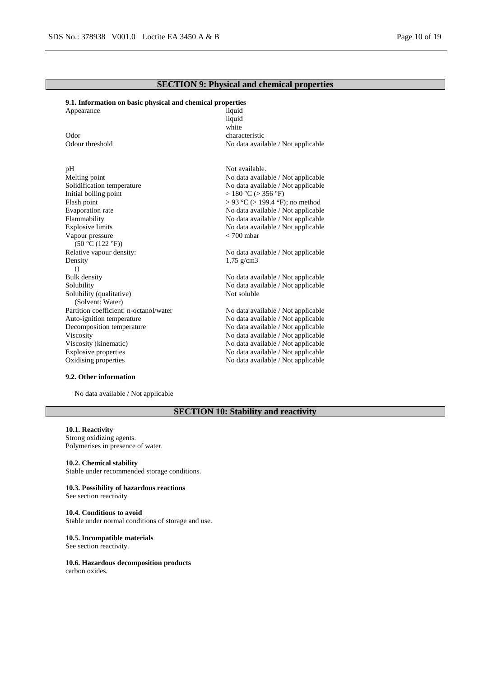# **SECTION 9: Physical and chemical properties**

# **9.1. Information on basic physical and chemical properties**

| Appearance                             | liquid                             |
|----------------------------------------|------------------------------------|
|                                        | liquid                             |
|                                        | white                              |
| Odor                                   | characteristic                     |
| Odour threshold                        | No data available / Not applicable |
|                                        |                                    |
| pH                                     | Not available.                     |
| Melting point                          | No data available / Not applicable |
| Solidification temperature             | No data available / Not applicable |
| Initial boiling point                  | $>180$ °C ( $>$ 356 °F)            |
| Flash point                            | > 93 °C (> 199.4 °F); no method    |
| <b>Evaporation</b> rate                | No data available / Not applicable |
| Flammability                           | No data available / Not applicable |
| <b>Explosive limits</b>                | No data available / Not applicable |
| Vapour pressure                        | $< 700$ mbar                       |
| (50 °C (122 °F))                       |                                    |
| Relative vapour density:               | No data available / Not applicable |
| Density                                | $1,75 \text{ g/cm}$ 3              |
| $\left( \right)$                       |                                    |
| <b>Bulk</b> density                    | No data available / Not applicable |
| Solubility                             | No data available / Not applicable |
| Solubility (qualitative)               | Not soluble                        |
| (Solvent: Water)                       |                                    |
| Partition coefficient: n-octanol/water | No data available / Not applicable |
| Auto-ignition temperature              | No data available / Not applicable |
| Decomposition temperature              | No data available / Not applicable |
| Viscosity                              | No data available / Not applicable |
| Viscosity (kinematic)                  | No data available / Not applicable |
| <b>Explosive properties</b>            | No data available / Not applicable |
| Oxidising properties                   | No data available / Not applicable |
|                                        |                                    |

### **9.2. Other information**

No data available / Not applicable

# **SECTION 10: Stability and reactivity**

### **10.1. Reactivity**

Strong oxidizing agents. Polymerises in presence of water.

**10.2. Chemical stability** Stable under recommended storage conditions.

**10.3. Possibility of hazardous reactions**

See section reactivity

### **10.4. Conditions to avoid**

Stable under normal conditions of storage and use.

#### **10.5. Incompatible materials**

See section reactivity.

#### **10.6. Hazardous decomposition products** carbon oxides.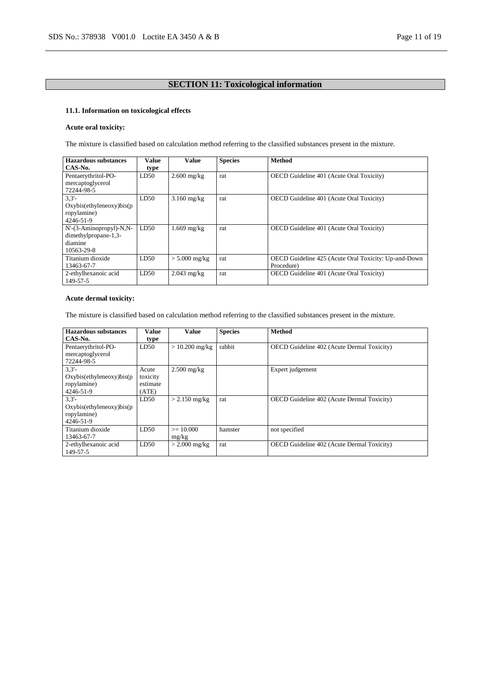# **SECTION 11: Toxicological information**

# **11.1. Information on toxicological effects**

# **Acute oral toxicity:**

The mixture is classified based on calculation method referring to the classified substances present in the mixture.

| <b>Hazardous substances</b><br>CAS-No.                                   | Value<br>type | <b>Value</b>    | <b>Species</b> | <b>Method</b>                                                      |
|--------------------------------------------------------------------------|---------------|-----------------|----------------|--------------------------------------------------------------------|
| Pentaerythritol-PO-<br>mercaptoglycerol<br>72244-98-5                    | LD50          | $2.600$ mg/kg   | rat            | OECD Guideline 401 (Acute Oral Toxicity)                           |
| 3.3'<br>Oxybis(ethyleneoxy)bis(p<br>ropylamine)<br>4246-51-9             | LD50          | $3.160$ mg/kg   | rat            | OECD Guideline 401 (Acute Oral Toxicity)                           |
| N'-(3-Aminopropyl)-N,N-<br>dimethylpropane-1,3-<br>diamine<br>10563-29-8 | LD50          | $1.669$ mg/kg   | rat            | OECD Guideline 401 (Acute Oral Toxicity)                           |
| Titanium dioxide<br>13463-67-7                                           | LD50          | $> 5.000$ mg/kg | rat            | OECD Guideline 425 (Acute Oral Toxicity: Up-and-Down<br>Procedure) |
| 2-ethylhexanoic acid<br>149-57-5                                         | LD50          | $2.043$ mg/kg   | rat            | OECD Guideline 401 (Acute Oral Toxicity)                           |

# **Acute dermal toxicity:**

The mixture is classified based on calculation method referring to the classified substances present in the mixture.

| <b>Hazardous substances</b> | Value    | Value            | <b>Species</b> | <b>Method</b>                                     |
|-----------------------------|----------|------------------|----------------|---------------------------------------------------|
| CAS-No.                     | type     |                  |                |                                                   |
| Pentaerythritol-PO-         | LD50     | $> 10.200$ mg/kg | rabbit         | <b>OECD</b> Guideline 402 (Acute Dermal Toxicity) |
| mercaptoglycerol            |          |                  |                |                                                   |
| 72244-98-5                  |          |                  |                |                                                   |
| 3.3'                        | Acute    | $2.500$ mg/kg    |                | Expert judgement                                  |
| Oxybis(ethyleneoxy)bis(p    | toxicity |                  |                |                                                   |
| ropylamine)                 | estimate |                  |                |                                                   |
| 4246-51-9                   | (ATE)    |                  |                |                                                   |
| 3.3'                        | LD50     | $> 2.150$ mg/kg  | rat            | OECD Guideline 402 (Acute Dermal Toxicity)        |
| Oxybis(ethyleneoxy)bis(p    |          |                  |                |                                                   |
| ropylamine)                 |          |                  |                |                                                   |
| 4246-51-9                   |          |                  |                |                                                   |
| Titanium dioxide            | LD50     | $>= 10,000$      | hamster        | not specified                                     |
| 13463-67-7                  |          | mg/kg            |                |                                                   |
| 2-ethylhexanoic acid        | LD50     | $>$ 2.000 mg/kg  | rat            | <b>OECD</b> Guideline 402 (Acute Dermal Toxicity) |
| 149-57-5                    |          |                  |                |                                                   |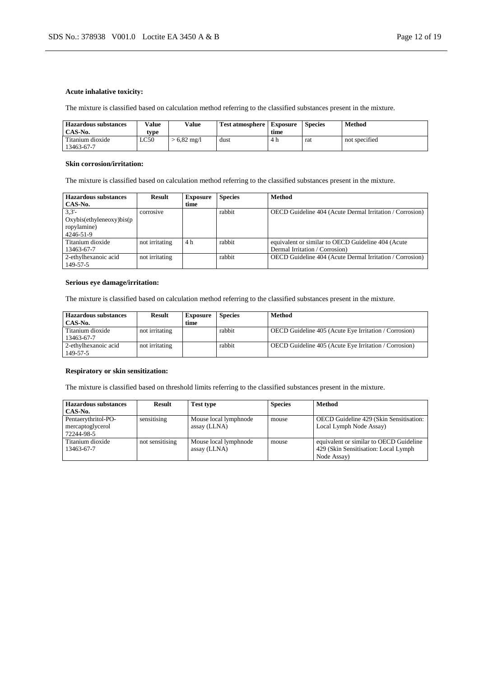# **Acute inhalative toxicity:**

The mixture is classified based on calculation method referring to the classified substances present in the mixture.

| <b>Hazardous substances</b><br>CAS-No. | Value | Value               | <b>Test atmosphere</b> | <b>Exposure</b><br>time | <b>Species</b> | Method        |
|----------------------------------------|-------|---------------------|------------------------|-------------------------|----------------|---------------|
|                                        | type  |                     |                        |                         |                |               |
| Titanium dioxide<br>13463-67-7         | LC50  | $6,82 \text{ mg}/1$ | dust                   | 4 h                     | rat            | not specified |

#### **Skin corrosion/irritation:**

The mixture is classified based on calculation method referring to the classified substances present in the mixture.

| Hazardous substances     | Result         | <b>Exposure</b> | <b>Species</b> | <b>Method</b>                                            |
|--------------------------|----------------|-----------------|----------------|----------------------------------------------------------|
| CAS-No.                  |                | time            |                |                                                          |
| 3.3'                     | corrosive      |                 | rabbit         | OECD Guideline 404 (Acute Dermal Irritation / Corrosion) |
| Oxybis(ethyleneoxy)bis(p |                |                 |                |                                                          |
| ropylamine)              |                |                 |                |                                                          |
| 4246-51-9                |                |                 |                |                                                          |
| Titanium dioxide         | not irritating | 4 h             | rabbit         | equivalent or similar to OECD Guideline 404 (Acute       |
| 13463-67-7               |                |                 |                | Dermal Irritation / Corrosion)                           |
| 2-ethylhexanoic acid     | not irritating |                 | rabbit         | OECD Guideline 404 (Acute Dermal Irritation / Corrosion) |
| 149-57-5                 |                |                 |                |                                                          |

# **Serious eye damage/irritation:**

The mixture is classified based on calculation method referring to the classified substances present in the mixture.

| <b>Hazardous substances</b><br>CAS-No. | <b>Result</b>  | <b>Exposure</b><br>time | <b>Species</b> | <b>Method</b>                                                |
|----------------------------------------|----------------|-------------------------|----------------|--------------------------------------------------------------|
| Titanium dioxide<br>13463-67-7         | not irritating |                         | rabbit         | OECD Guideline 405 (Acute Eye Irritation / Corrosion)        |
| 2-ethylhexanoic acid<br>149-57-5       | not irritating |                         | rabbit         | <b>OECD</b> Guideline 405 (Acute Eye Irritation / Corrosion) |

# **Respiratory or skin sensitization:**

The mixture is classified based on threshold limits referring to the classified substances present in the mixture.

| Hazardous substances<br>CAS-No.                       | Result          | <b>Test type</b>                      | <b>Species</b> | <b>Method</b>                                                                                   |
|-------------------------------------------------------|-----------------|---------------------------------------|----------------|-------------------------------------------------------------------------------------------------|
| Pentaerythritol-PO-<br>mercaptoglycerol<br>72244-98-5 | sensitising     | Mouse local lymphnode<br>assay (LLNA) | mouse          | OECD Guideline 429 (Skin Sensitisation:<br>Local Lymph Node Assay)                              |
| Titanium dioxide<br>13463-67-7                        | not sensitising | Mouse local lymphnode<br>assay (LLNA) | mouse          | equivalent or similar to OECD Guideline<br>429 (Skin Sensitisation: Local Lymph)<br>Node Assay) |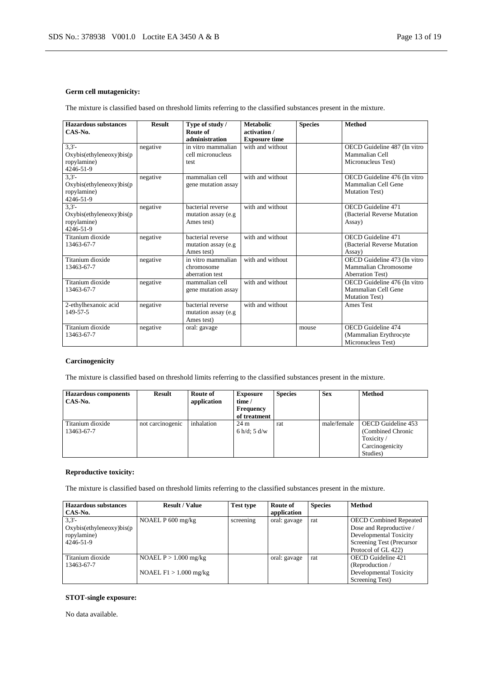# **Germ cell mutagenicity:**

The mixture is classified based on threshold limits referring to the classified substances present in the mixture.

| <b>Hazardous substances</b><br>CAS-No.                              | <b>Result</b> | Type of study /<br>Route of<br>administration           | <b>Metabolic</b><br>activation /<br><b>Exposure time</b> | <b>Species</b> | Method                                                                          |
|---------------------------------------------------------------------|---------------|---------------------------------------------------------|----------------------------------------------------------|----------------|---------------------------------------------------------------------------------|
| 3.3'<br>Oxybis(ethyleneoxy)bis(p<br>ropylamine)<br>4246-51-9        | negative      | in vitro mammalian<br>cell micronucleus<br>test         | with and without                                         |                | OECD Guideline 487 (In vitro<br>Mammalian Cell<br>Micronucleus Test)            |
| 3.3'<br>$Oxybis$ (ethyleneoxy) $bis(p)$<br>ropylamine)<br>4246-51-9 | negative      | mammalian cell<br>gene mutation assay                   | with and without                                         |                | OECD Guideline 476 (In vitro<br>Mammalian Cell Gene<br><b>Mutation Test)</b>    |
| 3.3'<br>$Oxybis$ (ethyleneoxy) $bis(p)$<br>ropylamine)<br>4246-51-9 | negative      | bacterial reverse<br>mutation assay (e.g.<br>Ames test) | with and without                                         |                | OECD Guideline 471<br>(Bacterial Reverse Mutation)<br>Assay)                    |
| Titanium dioxide<br>13463-67-7                                      | negative      | bacterial reverse<br>mutation assay (e.g<br>Ames test)  | with and without                                         |                | OECD Guideline 471<br>(Bacterial Reverse Mutation)<br>Assay)                    |
| Titanium dioxide<br>13463-67-7                                      | negative      | in vitro mammalian<br>chromosome<br>aberration test     | with and without                                         |                | OECD Guideline 473 (In vitro<br>Mammalian Chromosome<br><b>Aberration Test)</b> |
| Titanium dioxide<br>13463-67-7                                      | negative      | mammalian cell<br>gene mutation assay                   | with and without                                         |                | OECD Guideline 476 (In vitro<br>Mammalian Cell Gene<br><b>Mutation Test)</b>    |
| 2-ethylhexanoic acid<br>149-57-5                                    | negative      | bacterial reverse<br>mutation assay (e.g<br>Ames test)  | with and without                                         |                | Ames Test                                                                       |
| Titanium dioxide<br>13463-67-7                                      | negative      | oral: gavage                                            |                                                          | mouse          | <b>OECD</b> Guideline 474<br>(Mammalian Erythrocyte<br>Micronucleus Test)       |

# **Carcinogenicity**

The mixture is classified based on threshold limits referring to the classified substances present in the mixture.

| <b>Hazardous components</b><br>CAS-No. | <b>Result</b>    | Route of<br>application | <b>Exposure</b><br>time /<br><b>Frequency</b><br>of treatment | <b>Species</b> | <b>Sex</b>  | <b>Method</b>                                                                       |
|----------------------------------------|------------------|-------------------------|---------------------------------------------------------------|----------------|-------------|-------------------------------------------------------------------------------------|
| Titanium dioxide<br>13463-67-7         | not carcinogenic | inhalation              | $24 \text{ m}$<br>6 h/d: $5$ d/w                              | rat            | male/female | OECD Guideline 453<br>(Combined Chronic<br>Toxicity/<br>Carcinogenicity<br>Studies) |

# **Reproductive toxicity:**

The mixture is classified based on threshold limits referring to the classified substances present in the mixture.

| <b>Hazardous substances</b> | <b>Result / Value</b>    | <b>Test type</b> | Route of     | <b>Species</b> | Method                        |
|-----------------------------|--------------------------|------------------|--------------|----------------|-------------------------------|
| CAS-No.                     |                          |                  | application  |                |                               |
| 3.3'                        | NOAEL P 600 mg/kg        | screening        | oral: gavage | rat            | <b>OECD Combined Repeated</b> |
| Oxybis(ethyleneoxy)bis(p    |                          |                  |              |                | Dose and Reproductive /       |
| ropylamine)                 |                          |                  |              |                | Developmental Toxicity        |
| 4246-51-9                   |                          |                  |              |                | Screening Test (Precursor     |
|                             |                          |                  |              |                | Protocol of GL 422)           |
| Titanium dioxide            | NOAEL $P > 1.000$ mg/kg  |                  | oral: gavage | rat            | OECD Guideline 421            |
| 13463-67-7                  |                          |                  |              |                | (Reproduction /               |
|                             | NOAEL $F1 > 1.000$ mg/kg |                  |              |                | Developmental Toxicity        |
|                             |                          |                  |              |                | Screening Test)               |

# **STOT-single exposure:**

No data available.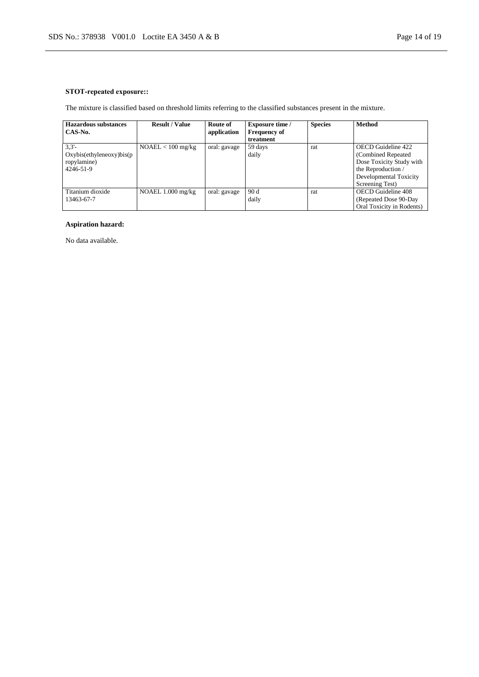# **STOT-repeated exposure::**

The mixture is classified based on threshold limits referring to the classified substances present in the mixture.

| Hazardous substances     | <b>Result / Value</b> | Route of     | <b>Exposure time /</b> | <b>Species</b> | <b>Method</b>             |
|--------------------------|-----------------------|--------------|------------------------|----------------|---------------------------|
| CAS-No.                  |                       | application  | <b>Frequency of</b>    |                |                           |
|                          |                       |              | treatment              |                |                           |
| 3.3'                     | $NOAEL < 100$ mg/kg   | oral: gavage | 59 days                | rat            | <b>OECD</b> Guideline 422 |
| Oxybis(ethyleneoxy)bis(p |                       |              | daily                  |                | (Combined Repeated)       |
| ropylamine)              |                       |              |                        |                | Dose Toxicity Study with  |
| 4246-51-9                |                       |              |                        |                | the Reproduction /        |
|                          |                       |              |                        |                | Developmental Toxicity    |
|                          |                       |              |                        |                | Screening Test)           |
| Titanium dioxide         | NOAEL $1.000$ mg/kg   | oral: gavage | 90 d                   | rat            | <b>OECD</b> Guideline 408 |
| 13463-67-7               |                       |              | daily                  |                | (Repeated Dose 90-Day)    |
|                          |                       |              |                        |                | Oral Toxicity in Rodents) |

# **Aspiration hazard:**

No data available.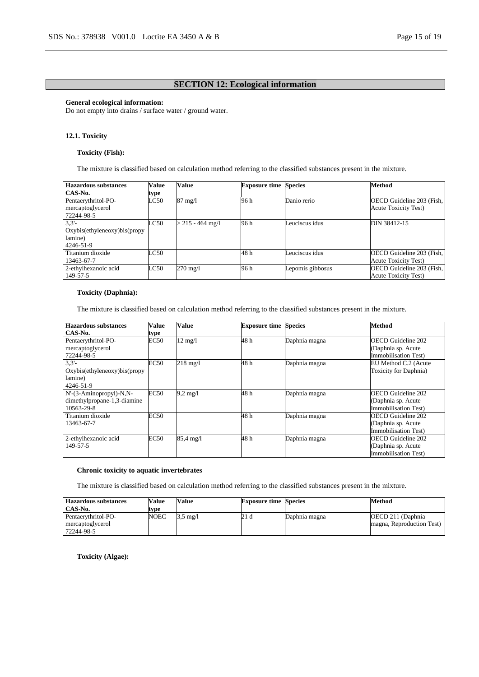# **SECTION 12: Ecological information**

# **General ecological information:**

Do not empty into drains / surface water / ground water.

# **12.1. Toxicity**

### **Toxicity (Fish):**

The mixture is classified based on calculation method referring to the classified substances present in the mixture.

| <b>Hazardous substances</b>   | <b>Value</b> | Value              | <b>Exposure time Species</b> |                  | <b>Method</b>               |
|-------------------------------|--------------|--------------------|------------------------------|------------------|-----------------------------|
| CAS-No.                       | type         |                    |                              |                  |                             |
| Pentaerythritol-PO-           | LC50         | $87 \text{ mg}/1$  | 96 h                         | Danio rerio      | OECD Guideline 203 (Fish,   |
| mercaptoglycerol              |              |                    |                              |                  | <b>Acute Toxicity Test)</b> |
| 72244-98-5                    |              |                    |                              |                  |                             |
| $3,3'$ -                      | LC50         | $>$ 215 - 464 mg/l | 96 h                         | Leuciscus idus   | DIN 38412-15                |
| Oxybis(ethyleneoxy)bis(propy) |              |                    |                              |                  |                             |
| lamine)                       |              |                    |                              |                  |                             |
| 4246-51-9                     |              |                    |                              |                  |                             |
| Titanium dioxide              | LC50         |                    | 48 h                         | Leuciscus idus   | OECD Guideline 203 (Fish,   |
| 13463-67-7                    |              |                    |                              |                  | <b>Acute Toxicity Test)</b> |
| 2-ethylhexanoic acid          | LC50         | 270 mg/l           | 96 h                         | Lepomis gibbosus | OECD Guideline 203 (Fish,   |
| 149-57-5                      |              |                    |                              |                  | <b>Acute Toxicity Test)</b> |

# **Toxicity (Daphnia):**

The mixture is classified based on calculation method referring to the classified substances present in the mixture.

| <b>Hazardous substances</b>  | Value       | <b>Value</b>        | <b>Exposure time Species</b> |               | <b>Method</b>             |
|------------------------------|-------------|---------------------|------------------------------|---------------|---------------------------|
| CAS-No.                      | type        |                     |                              |               |                           |
| Pentaerythritol-PO-          | <b>EC50</b> | $12 \text{ mg}/l$   | 48h                          | Daphnia magna | OECD Guideline 202        |
| mercaptoglycerol             |             |                     |                              |               | (Daphnia sp. Acute        |
| 72244-98-5                   |             |                     |                              |               | Immobilisation Test)      |
| 3.3'                         | <b>EC50</b> | $218$ mg/l          | 48h                          | Daphnia magna | EU Method C.2 (Acute      |
| Oxybis(ethyleneoxy)bis(propy |             |                     |                              |               | Toxicity for Daphnia)     |
| lamine)                      |             |                     |                              |               |                           |
| 4246-51-9                    |             |                     |                              |               |                           |
| N'-(3-Aminopropyl)-N,N-      | EC50        | $9.2 \text{ mg}/1$  | 48h                          | Daphnia magna | OECD Guideline 202        |
| dimethylpropane-1,3-diamine  |             |                     |                              |               | (Daphnia sp. Acute        |
| 10563-29-8                   |             |                     |                              |               | Immobilisation Test)      |
| Titanium dioxide             | <b>EC50</b> |                     | 48h                          | Daphnia magna | <b>OECD</b> Guideline 202 |
| 13463-67-7                   |             |                     |                              |               | (Daphnia sp. Acute        |
|                              |             |                     |                              |               | Immobilisation Test)      |
| 2-ethylhexanoic acid         | <b>EC50</b> | $85.4 \text{ mg}/1$ | 48h                          | Daphnia magna | OECD Guideline 202        |
| 149-57-5                     |             |                     |                              |               | (Daphnia sp. Acute        |
|                              |             |                     |                              |               | Immobilisation Test)      |

# **Chronic toxicity to aquatic invertebrates**

The mixture is classified based on calculation method referring to the classified substances present in the mixture.

| <b>Hazardous substances</b><br>CAS-No.                | <b>Value</b><br>type | Value              | <b>Exposure time Species</b> |               | Method                                          |
|-------------------------------------------------------|----------------------|--------------------|------------------------------|---------------|-------------------------------------------------|
| Pentaerythritol-PO-<br>mercaptoglycerol<br>72244-98-5 | <b>NOEC</b>          | $3.5 \text{ mg}/1$ | 21 d                         | Daphnia magna | OECD 211 (Daphnia)<br>magna, Reproduction Test) |

**Toxicity (Algae):**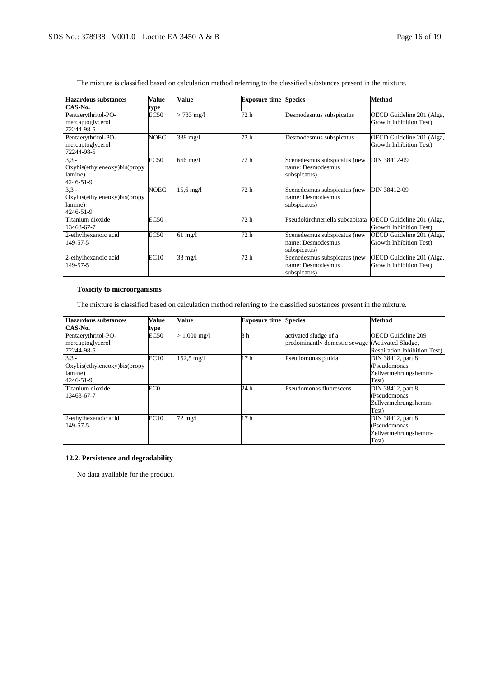| Hazardous substances<br>CAS-No.                                  | Value        | <b>Value</b>           | <b>Exposure time Species</b> |                                                                   | <b>Method</b>                                        |
|------------------------------------------------------------------|--------------|------------------------|------------------------------|-------------------------------------------------------------------|------------------------------------------------------|
| Pentaerythritol-PO-<br>mercaptoglycerol<br>72244-98-5            | type<br>EC50 | $> 733 \text{ mg}/1$   | 72 h                         | Desmodesmus subspicatus                                           | OECD Guideline 201 (Alga,<br>Growth Inhibition Test) |
| Pentaerythritol-PO-<br>mercaptoglycerol<br>72244-98-5            | NOEC         | 338 mg/l               | 72 h                         | Desmodesmus subspicatus                                           | OECD Guideline 201 (Alga,<br>Growth Inhibition Test) |
| 3.3'<br>Oxybis(ethyleneoxy)bis(propy<br>lamine)<br>4246-51-9     | EC50         | 666 mg/l               | 72 h                         | Scenedesmus subspicatus (new<br>name: Desmodesmus<br>subspicatus) | DIN 38412-09                                         |
| $3,3'$ -<br>Oxybis(ethyleneoxy)bis(propy<br>lamine)<br>4246-51-9 | NOEC         | $15.6 \,\mathrm{mg}/l$ | 72 h                         | Scenedesmus subspicatus (new<br>name: Desmodesmus<br>subspicatus) | DIN 38412-09                                         |
| Titanium dioxide<br>13463-67-7                                   | <b>EC50</b>  |                        | 72 h                         | Pseudokirchneriella subcapitata                                   | OECD Guideline 201 (Alga,<br>Growth Inhibition Test) |
| 2-ethylhexanoic acid<br>149-57-5                                 | <b>EC50</b>  | $61 \text{ mg/l}$      | 72 h                         | Scenedesmus subspicatus (new<br>name: Desmodesmus<br>subspicatus) | OECD Guideline 201 (Alga,<br>Growth Inhibition Test) |
| 2-ethylhexanoic acid<br>149-57-5                                 | EC10         | $33 \text{ mg}/l$      | 72 h                         | Scenedesmus subspicatus (new<br>name: Desmodesmus<br>subspicatus) | OECD Guideline 201 (Alga,<br>Growth Inhibition Test) |

The mixture is classified based on calculation method referring to the classified substances present in the mixture.

# **Toxicity to microorganisms**

The mixture is classified based on calculation method referring to the classified substances present in the mixture.

| <b>Hazardous substances</b>  | Value           | <b>Value</b>            | <b>Exposure time Species</b> |                                                  | <b>Method</b>                       |
|------------------------------|-----------------|-------------------------|------------------------------|--------------------------------------------------|-------------------------------------|
| CAS-No.                      | type            |                         |                              |                                                  |                                     |
| Pentaerythritol-PO-          | <b>EC50</b>     | $1.000 \,\mathrm{mg}/l$ | 3 <sub>h</sub>               | activated sludge of a                            | <b>OECD Guideline 209</b>           |
| mercaptoglycerol             |                 |                         |                              | predominantly domestic sewage (Activated Sludge, |                                     |
| 72244-98-5                   |                 |                         |                              |                                                  | <b>Respiration Inhibition Test)</b> |
| 3.3'                         | EC10            | $152,5 \text{ mg}/1$    | 17 <sub>h</sub>              | Pseudomonas putida                               | DIN 38412, part 8                   |
| Oxybis(ethyleneoxy)bis(propy |                 |                         |                              |                                                  | (Pseudomonas                        |
| lamine)                      |                 |                         |                              |                                                  | Zellvermehrungshemm-                |
| 4246-51-9                    |                 |                         |                              |                                                  | Test)                               |
| Titanium dioxide             | EC <sub>0</sub> |                         | 24 h                         | Pseudomonas fluorescens                          | DIN 38412, part 8                   |
| 13463-67-7                   |                 |                         |                              |                                                  | (Pseudomonas                        |
|                              |                 |                         |                              |                                                  | Zellvermehrungshemm-                |
|                              |                 |                         |                              |                                                  | Test)                               |
| 2-ethylhexanoic acid         | EC10            | $72 \text{ mg}/l$       | 17 <sub>h</sub>              |                                                  | DIN 38412, part 8                   |
| 149-57-5                     |                 |                         |                              |                                                  | (Pseudomonas                        |
|                              |                 |                         |                              |                                                  | Zellvermehrungshemm-                |
|                              |                 |                         |                              |                                                  | Test)                               |

# **12.2. Persistence and degradability**

No data available for the product.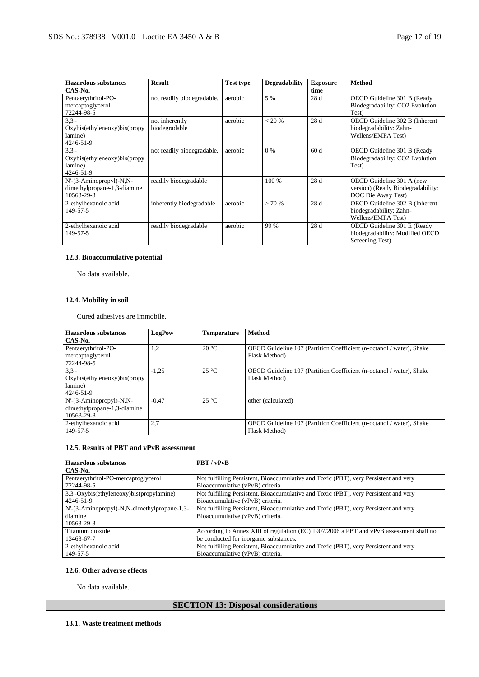| Hazardous substances<br>CAS-No.                                      | <b>Result</b>                   | <b>Test type</b> | <b>Degradability</b> | <b>Exposure</b><br>time | <b>Method</b>                                                                        |
|----------------------------------------------------------------------|---------------------------------|------------------|----------------------|-------------------------|--------------------------------------------------------------------------------------|
| Pentaerythritol-PO-<br>mercaptoglycerol<br>72244-98-5                | not readily biodegradable.      | aerobic          | 5 %                  | 28 d                    | OECD Guideline 301 B (Ready<br>Biodegradability: CO2 Evolution<br>Test)              |
| 3.3'<br>Oxybis(ethyleneoxy)bis(propy<br>lamine)<br>4246-51-9         | not inherently<br>biodegradable | aerobic          | < 20 %               | 28 d                    | OECD Guideline 302 B (Inherent<br>biodegradability: Zahn-<br>Wellens/EMPA Test)      |
| 3.3'<br>Oxybis(ethyleneoxy)bis(propy<br>lamine)<br>4246-51-9         | not readily biodegradable.      | aerobic          | $0\%$                | 60d                     | OECD Guideline 301 B (Ready)<br>Biodegradability: CO2 Evolution<br>Test)             |
| N'-(3-Aminopropyl)-N,N-<br>dimethylpropane-1,3-diamine<br>10563-29-8 | readily biodegradable           |                  | 100 %                | 28 d                    | OECD Guideline 301 A (new<br>version) (Ready Biodegradability:<br>DOC Die Away Test) |
| 2-ethylhexanoic acid<br>149-57-5                                     | inherently biodegradable        | aerobic          | > 70%                | 28d                     | OECD Guideline 302 B (Inherent<br>biodegradability: Zahn-<br>Wellens/EMPA Test)      |
| 2-ethylhexanoic acid<br>149-57-5                                     | readily biodegradable           | aerobic          | 99 %                 | 28 d                    | OECD Guideline 301 E (Ready<br>biodegradability: Modified OECD<br>Screening Test)    |

# **12.3. Bioaccumulative potential**

No data available.

# **12.4. Mobility in soil**

Cured adhesives are immobile.

| Hazardous substances           | LogPow  | <b>Temperature</b> | <b>Method</b>                                                        |
|--------------------------------|---------|--------------------|----------------------------------------------------------------------|
| CAS-No.                        |         |                    |                                                                      |
| Pentaerythritol-PO-            | 1,2     | $20^{\circ}$ C     | OECD Guideline 107 (Partition Coefficient (n-octanol / water), Shake |
| mercaptoglycerol<br>72244-98-5 |         |                    | Flask Method)                                                        |
| 3.3'                           | $-1.25$ | $25^{\circ}$ C     | OECD Guideline 107 (Partition Coefficient (n-octanol / water), Shake |
| Oxybis(ethyleneoxy)bis(propy)  |         |                    | Flask Method)                                                        |
| lamine)                        |         |                    |                                                                      |
| 4246-51-9                      |         |                    |                                                                      |
| N'-(3-Aminopropyl)-N,N-        | $-0.47$ | $25^{\circ}$ C     | other (calculated)                                                   |
| dimethylpropane-1,3-diamine    |         |                    |                                                                      |
| 10563-29-8                     |         |                    |                                                                      |
| 2-ethylhexanoic acid           | 2,7     |                    | OECD Guideline 107 (Partition Coefficient (n-octanol / water), Shake |
| 149-57-5                       |         |                    | Flask Method)                                                        |

# **12.5. Results of PBT and vPvB assessment**

| <b>Hazardous</b> substances                 | PBT / vPvB                                                                               |
|---------------------------------------------|------------------------------------------------------------------------------------------|
| CAS-No.                                     |                                                                                          |
| Pentaerythritol-PO-mercaptoglycerol         | Not fulfilling Persistent, Bioaccumulative and Toxic (PBT), very Persistent and very     |
| 72244-98-5                                  | Bioaccumulative (vPvB) criteria.                                                         |
| 3,3'-Oxybis(ethyleneoxy)bis(propylamine)    | Not fulfilling Persistent, Bioaccumulative and Toxic (PBT), very Persistent and very     |
| 4246-51-9                                   | Bioaccumulative (vPvB) criteria.                                                         |
| N'-(3-Aminopropyl)-N,N-dimethylpropane-1,3- | Not fulfilling Persistent, Bioaccumulative and Toxic (PBT), very Persistent and very     |
| diamine                                     | Bioaccumulative (vPvB) criteria.                                                         |
| 10563-29-8                                  |                                                                                          |
| Titanium dioxide                            | According to Annex XIII of regulation (EC) 1907/2006 a PBT and vPvB assessment shall not |
| 13463-67-7                                  | be conducted for inorganic substances.                                                   |
| 2-ethylhexanoic acid                        | Not fulfilling Persistent, Bioaccumulative and Toxic (PBT), very Persistent and very     |
| 149-57-5                                    | Bioaccumulative (vPvB) criteria.                                                         |

### **12.6. Other adverse effects**

No data available.

# **SECTION 13: Disposal considerations**

**13.1. Waste treatment methods**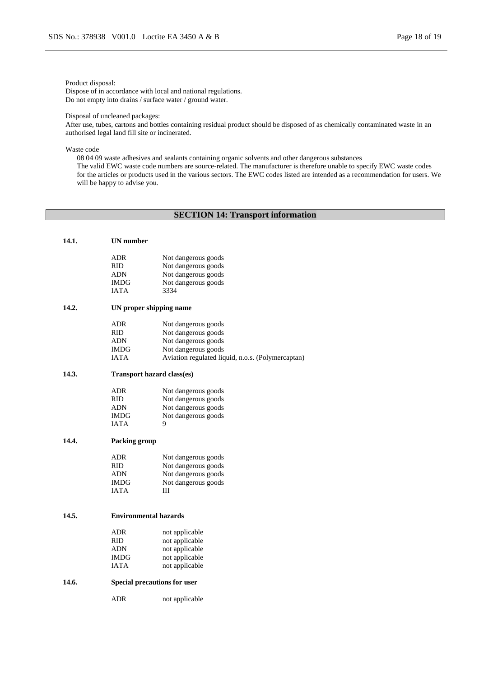#### Product disposal:

Dispose of in accordance with local and national regulations. Do not empty into drains / surface water / ground water.

Disposal of uncleaned packages:

After use, tubes, cartons and bottles containing residual product should be disposed of as chemically contaminated waste in an authorised legal land fill site or incinerated.

Waste code

08 04 09 waste adhesives and sealants containing organic solvents and other dangerous substances

The valid EWC waste code numbers are source-related. The manufacturer is therefore unable to specify EWC waste codes for the articles or products used in the various sectors. The EWC codes listed are intended as a recommendation for users. We will be happy to advise you.

# **SECTION 14: Transport information**

| 14.1. | <b>UN</b> number                  |                                                   |
|-------|-----------------------------------|---------------------------------------------------|
|       | ADR                               | Not dangerous goods                               |
|       | RID.                              | Not dangerous goods                               |
|       | <b>ADN</b>                        | Not dangerous goods                               |
|       | <b>IMDG</b>                       | Not dangerous goods                               |
|       | IATA                              | 3334                                              |
| 14.2. | UN proper shipping name           |                                                   |
|       | ADR                               | Not dangerous goods                               |
|       | RID.                              | Not dangerous goods                               |
|       | ADN                               | Not dangerous goods                               |
|       | IMDG                              | Not dangerous goods                               |
|       | IATA                              | Aviation regulated liquid, n.o.s. (Polymercaptan) |
| 14.3. | <b>Transport hazard class(es)</b> |                                                   |
|       | <b>ADR</b>                        | Not dangerous goods                               |
|       | RID.                              | Not dangerous goods                               |
|       | ADN                               | Not dangerous goods                               |
|       | <b>IMDG</b>                       | Not dangerous goods                               |
|       | <b>IATA</b>                       | 9                                                 |
| 14.4. | Packing group                     |                                                   |
|       | <b>ADR</b>                        | Not dangerous goods                               |
|       | <b>RID</b>                        | Not dangerous goods                               |
|       | ADN                               | Not dangerous goods                               |
|       | <b>IMDG</b>                       | Not dangerous goods                               |
|       | <b>IATA</b>                       | Ш                                                 |
| 14.5. | <b>Environmental hazards</b>      |                                                   |
|       |                                   |                                                   |
|       | <b>ADR</b>                        | not applicable                                    |
|       | <b>RID</b>                        | not applicable                                    |
|       | ADN                               | not applicable                                    |
|       | <b>IMDG</b>                       | not applicable                                    |
|       | IATA                              | not applicable                                    |
| 14.6. | Special precautions for user      |                                                   |
|       | <b>ADR</b>                        | not applicable                                    |